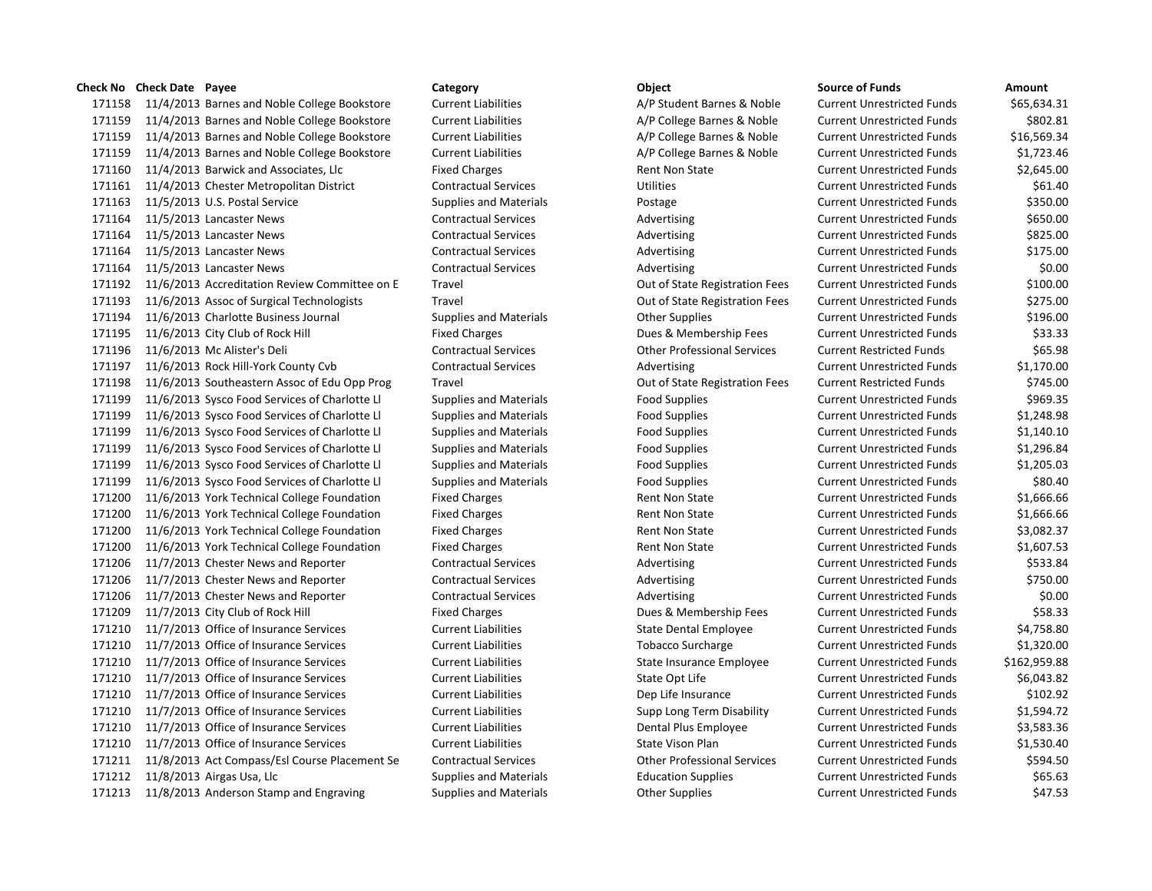## **Check No Check Date Payee Category Object Source of Funds Amount**

 11/4/2013 Barnes and Noble College Bookstore Current Liabilities A/P Student Barnes & Noble Current Unrestricted Funds \$65,634.31 11/4/2013 Barnes and Noble College Bookstore Current Liabilities A/P College Barnes & Noble Current Unrestricted Funds \$802.81 11/4/2013 Barnes and Noble College Bookstore Current Liabilities A/P College Barnes & Noble Current Unrestricted Funds \$16,569.34 11/4/2013 Barnes and Noble College Bookstore Current Liabilities A/P College Barnes & Noble Current Unrestricted Funds \$1,723.46 11/4/2013 Barwick and Associates, Llc Fixed Charges Rent Non State Current Unrestricted Funds \$2,645.00 11/4/2013 Chester Metropolitan District Contractual Services Utilities Current Unrestricted Funds \$61.40 11/5/2013 U.S. Postal Service Supplies and Materials Postage Current Unrestricted Funds \$350.00 171164 11/5/2013 Lancaster News **Contractual Services** Advertising Current Unrestricted Funds \$650.00 171164 11/5/2013 Lancaster News **Contractual Services** Advertising Current Unrestricted Funds \$825.00 171164 11/5/2013 Lancaster News **Contractual Services** Advertising Current Unrestricted Funds \$175.00 11/5/2013 Lancaster News Contractual Services Advertising Current Unrestricted Funds \$0.00 11/6/2013 Accreditation Review Committee on E Travel Out of State Registration Fees Current Unrestricted Funds \$100.00 11/6/2013 Assoc of Surgical Technologists Travel Out of State Registration Fees Current Unrestricted Funds \$275.00 11/6/2013 Charlotte Business Journal Supplies and Materials Other Supplies Current Unrestricted Funds \$196.00 11/6/2013 City Club of Rock Hill Fixed Charges Dues & Membership Fees Current Unrestricted Funds \$33.33 11/6/2013 Mc Alister's Deli Contractual Services Other Professional Services Current Restricted Funds \$65.98 171197 11/6/2013 Rock Hill-York County Cvb Contractual Services Advertising Current Unrestricted Funds \$1,170.00 11/6/2013 Southeastern Assoc of Edu Opp Prog Travel Out of State Registration Fees Current Restricted Funds \$745.00 11/6/2013 Sysco Food Services of Charlotte Ll Supplies and Materials Food Supplies Current Unrestricted Funds \$969.35 11/6/2013 Sysco Food Services of Charlotte Ll Supplies and Materials Food Supplies Current Unrestricted Funds \$1,248.98 11/6/2013 Sysco Food Services of Charlotte Ll Supplies and Materials Food Supplies Current Unrestricted Funds \$1,140.10 11/6/2013 Sysco Food Services of Charlotte Ll Supplies and Materials Food Supplies Current Unrestricted Funds \$1,296.84 11/6/2013 Sysco Food Services of Charlotte Ll Supplies and Materials Food Supplies Current Unrestricted Funds \$1,205.03 11/6/2013 Sysco Food Services of Charlotte Ll Supplies and Materials Food Supplies Current Unrestricted Funds \$80.40 11/6/2013 York Technical College Foundation Fixed Charges Rent Non State Current Unrestricted Funds \$1,666.66 11/6/2013 York Technical College Foundation Fixed Charges Rent Non State Current Unrestricted Funds \$1,666.66 11/6/2013 York Technical College Foundation Fixed Charges Rent Non State Current Unrestricted Funds \$3,082.37 11/6/2013 York Technical College Foundation Fixed Charges Rent Non State Current Unrestricted Funds \$1,607.53 171206 11/7/2013 Chester News and Reporter Contractual Services Advertising Advertising Current Unrestricted Funds \$533.84 11/7/2013 Chester News and Reporter Contractual Services Advertising Current Unrestricted Funds \$750.00 11/7/2013 Chester News and Reporter Contractual Services Advertising Current Unrestricted Funds \$0.00 11/7/2013 City Club of Rock Hill Fixed Charges Dues & Membership Fees Current Unrestricted Funds \$58.33 11/7/2013 Office of Insurance Services Current Liabilities State Dental Employee Current Unrestricted Funds \$4,758.80 11/7/2013 Office of Insurance Services Current Liabilities Tobacco Surcharge Current Unrestricted Funds \$1,320.00 11/7/2013 Office of Insurance Services Current Liabilities State Insurance Employee Current Unrestricted Funds \$162,959.88 11/7/2013 Office of Insurance Services Current Liabilities State Opt Life Current Unrestricted Funds \$6,043.82 11/7/2013 Office of Insurance Services Current Liabilities Dep Life Insurance Current Unrestricted Funds \$102.92 11/7/2013 Office of Insurance Services Current Liabilities Supp Long Term Disability Current Unrestricted Funds \$1,594.72 11/7/2013 Office of Insurance Services Current Liabilities Dental Plus Employee Current Unrestricted Funds \$3,583.36 11/7/2013 Office of Insurance Services Current Liabilities State Vison Plan Current Unrestricted Funds \$1,530.40 11/8/2013 Act Compass/Esl Course Placement Se Contractual Services Other Professional Services Current Unrestricted Funds \$594.50 11/8/2013 Airgas Usa, Llc Supplies and Materials Education Supplies Current Unrestricted Funds \$65.63 171213 11/8/2013 Anderson Stamp and Engraving Supplies and Materials Current Unrestricted Funds (47.53 \$47.53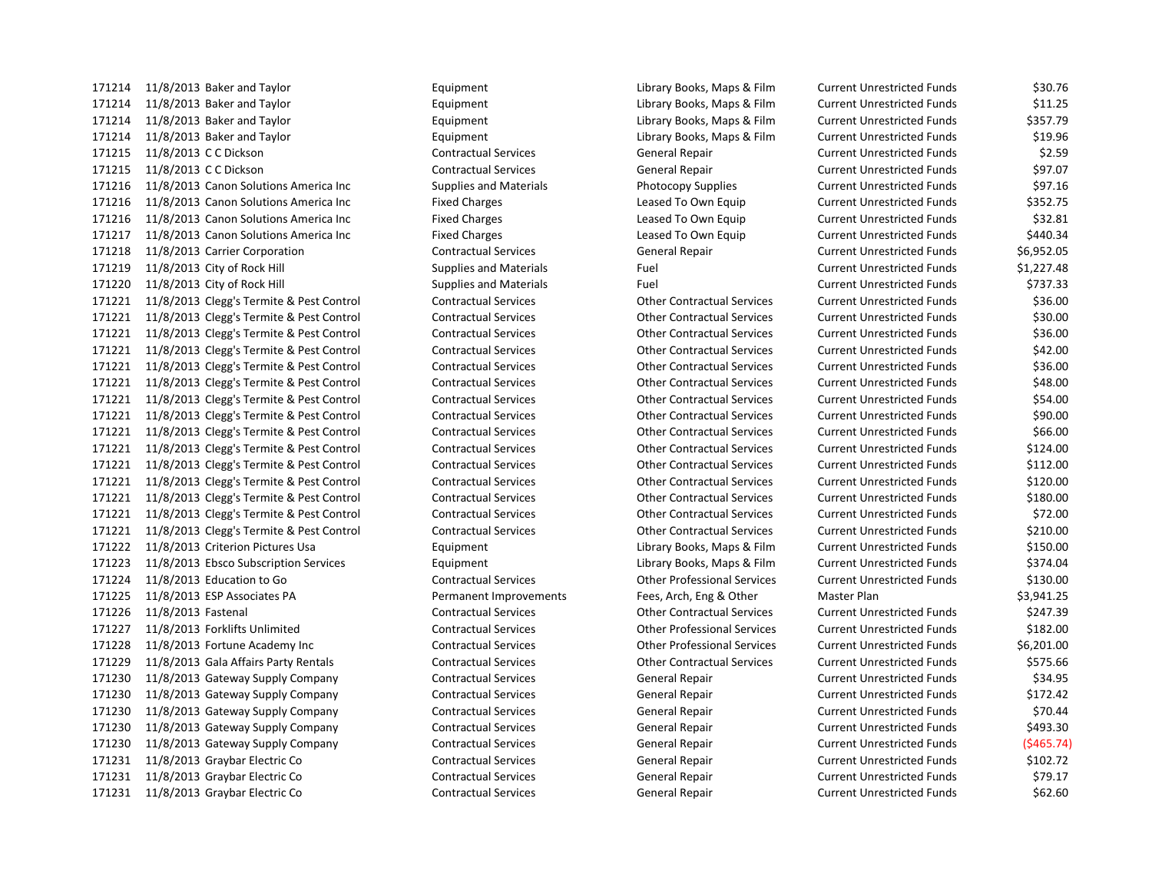11/8/2013 Baker and Taylor Equipment Library Books, Maps & Film Current Unrestricted Funds \$30.76 11/8/2013 Baker and Taylor Equipment Library Books, Maps & Film Current Unrestricted Funds \$11.25 11/8/2013 Baker and Taylor Equipment Library Books, Maps & Film Current Unrestricted Funds \$357.79 11/8/2013 Baker and Taylor Equipment Library Books, Maps & Film Current Unrestricted Funds \$19.96 11/8/2013 C C Dickson Contractual Services General Repair Current Unrestricted Funds \$2.59 11/8/2013 C C Dickson Contractual Services General Repair Current Unrestricted Funds \$97.07 11/8/2013 Canon Solutions America Inc Supplies and Materials Photocopy Supplies Current Unrestricted Funds \$97.16 11/8/2013 Canon Solutions America Inc Fixed Charges Leased To Own Equip Current Unrestricted Funds \$352.75 11/8/2013 Canon Solutions America Inc Fixed Charges Leased To Own Equip Current Unrestricted Funds \$32.81 11/8/2013 Canon Solutions America Inc Fixed Charges Leased To Own Equip Current Unrestricted Funds \$440.34 11/8/2013 Carrier Corporation Contractual Services General Repair Current Unrestricted Funds \$6,952.05 11/8/2013 City of Rock Hill Supplies and Materials Fuel Current Unrestricted Funds \$1,227.48 171220 11/8/2013 City of Rock Hill Supplies and Materials Fuel Fuel Current Unrestricted Funds \$737.33 11/8/2013 Clegg's Termite & Pest Control Contractual Services Other Contractual Services Current Unrestricted Funds \$36.00 171221 11/8/2013 Clegg's Termite & Pest Control Contractual Services Other Contractual Services Current Unrestricted Funds \$30.00 171221 11/8/2013 Clegg's Termite & Pest Control Contractual Services Other Contractual Services Current Unrestricted Funds \$36.00 11/8/2013 Clegg's Termite & Pest Control Contractual Services Other Contractual Services Current Unrestricted Funds \$42.00 11/8/2013 Clegg's Termite & Pest Control Contractual Services Other Contractual Services Current Unrestricted Funds \$36.00 171221 11/8/2013 Clegg's Termite & Pest Control Contractual Services Other Contractual Services Current Unrestricted Funds \$48.00 171221 11/8/2013 Clegg's Termite & Pest Control Contractual Services Other Contractual Services Current Unrestricted Funds \$54.00 171221 11/8/2013 Clegg's Termite & Pest Control Contractual Services Other Contractual Services Current Unrestricted Funds \$90.00 171221 11/8/2013 Clegg's Termite & Pest Control Contractual Services Other Contractual Services Current Unrestricted Funds \$66.00 171221 11/8/2013 Clegg's Termite & Pest Control Contractual Services Other Contractual Services Current Unrestricted Funds \$124.00 171221 11/8/2013 Clegg's Termite & Pest Control Contractual Services Other Contractual Services Current Unrestricted Funds \$112.00 171221 11/8/2013 Clegg's Termite & Pest Control Contractual Services Other Contractual Services Current Unrestricted Funds \$120.00 11/8/2013 Clegg's Termite & Pest Control Contractual Services Other Contractual Services Current Unrestricted Funds \$180.00 171221 11/8/2013 Clegg's Termite & Pest Control Contractual Services Other Contractual Services Current Unrestricted Funds \$72.00 171221 11/8/2013 Clegg's Termite & Pest Control Contractual Services Contractual Services Current Unrestricted Funds \$210.00 11/8/2013 Criterion Pictures Usa Equipment Library Books, Maps & Film Current Unrestricted Funds \$150.00 11/8/2013 Ebsco Subscription Services Equipment Library Books, Maps & Film Current Unrestricted Funds \$374.04 11/8/2013 Education to Go Contractual Services Other Professional Services Current Unrestricted Funds \$130.00 11/8/2013 ESP Associates PA Permanent Improvements Fees, Arch, Eng & Other Master Plan \$3,941.25 11/8/2013 Fastenal Contractual Services Other Contractual Services Current Unrestricted Funds \$247.39 11/8/2013 Forklifts Unlimited Contractual Services Other Professional Services Current Unrestricted Funds \$182.00 11/8/2013 Fortune Academy Inc Contractual Services Other Professional Services Current Unrestricted Funds \$6,201.00 11/8/2013 Gala Affairs Party Rentals Contractual Services Other Contractual Services Current Unrestricted Funds \$575.66 11/8/2013 Gateway Supply Company Contractual Services General Repair Current Unrestricted Funds \$34.95 11/8/2013 Gateway Supply Company Contractual Services General Repair Current Unrestricted Funds \$172.42 11/8/2013 Gateway Supply Company Contractual Services General Repair Current Unrestricted Funds \$70.44 11/8/2013 Gateway Supply Company Contractual Services General Repair Current Unrestricted Funds \$493.30 11/8/2013 Gateway Supply Company Contractual Services General Repair Current Unrestricted Funds (\$465.74) 11/8/2013 Graybar Electric Co Contractual Services General Repair Current Unrestricted Funds \$102.72 11/8/2013 Graybar Electric Co Contractual Services General Repair Current Unrestricted Funds \$79.17 11/8/2013 Graybar Electric Co Contractual Services General Repair Current Unrestricted Funds \$62.60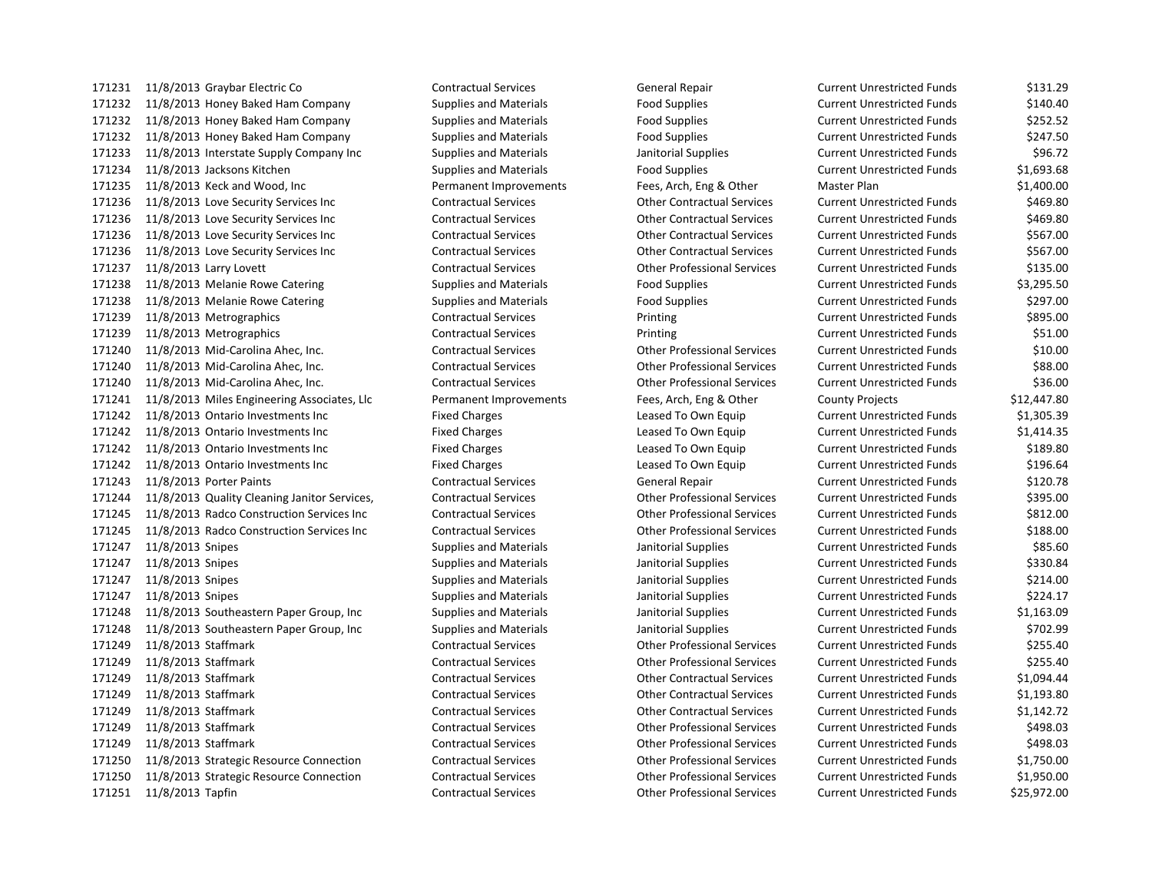11/8/2013 Graybar Electric Co Contractual Services General Repair Current Unrestricted Funds \$131.29 11/8/2013 Honey Baked Ham Company Supplies and Materials Food Supplies Current Unrestricted Funds \$140.40 11/8/2013 Honey Baked Ham Company Supplies and Materials Food Supplies Current Unrestricted Funds \$252.52 11/8/2013 Honey Baked Ham Company Supplies and Materials Food Supplies Current Unrestricted Funds \$247.50 11/8/2013 Interstate Supply Company Inc Supplies and Materials Janitorial Supplies Current Unrestricted Funds \$96.72 11/8/2013 Jacksons Kitchen Supplies and Materials Food Supplies Current Unrestricted Funds \$1,693.68 11/8/2013 Keck and Wood, Inc Permanent Improvements Fees, Arch, Eng & Other Master Plan \$1,400.00 11/8/2013 Love Security Services Inc Contractual Services Other Contractual Services Current Unrestricted Funds \$469.80 11/8/2013 Love Security Services Inc Contractual Services Other Contractual Services Current Unrestricted Funds \$469.80 11/8/2013 Love Security Services Inc Contractual Services Other Contractual Services Current Unrestricted Funds \$567.00 11/8/2013 Love Security Services Inc Contractual Services Other Contractual Services Current Unrestricted Funds \$567.00 11/8/2013 Larry Lovett Contractual Services Other Professional Services Current Unrestricted Funds \$135.00 11/8/2013 Melanie Rowe Catering Supplies and Materials Food Supplies Current Unrestricted Funds \$3,295.50 11/8/2013 Melanie Rowe Catering Supplies and Materials Food Supplies Current Unrestricted Funds \$297.00 11/8/2013 Metrographics Contractual Services Printing Current Unrestricted Funds \$895.00 11/8/2013 Metrographics Contractual Services Printing Current Unrestricted Funds \$51.00 11/8/2013 Mid-Carolina Ahec, Inc. Contractual Services Other Professional Services Current Unrestricted Funds \$10.00 11/8/2013 Mid-Carolina Ahec, Inc. Contractual Services Other Professional Services Current Unrestricted Funds \$88.00 11/8/2013 Mid-Carolina Ahec, Inc. Contractual Services Other Professional Services Current Unrestricted Funds \$36.00 11/8/2013 Miles Engineering Associates, Llc Permanent Improvements Fees, Arch, Eng & Other County Projects \$12,447.80 11/8/2013 Ontario Investments Inc Fixed Charges Leased To Own Equip Current Unrestricted Funds \$1,305.39 11/8/2013 Ontario Investments Inc Fixed Charges Leased To Own Equip Current Unrestricted Funds \$1,414.35 11/8/2013 Ontario Investments Inc Fixed Charges Leased To Own Equip Current Unrestricted Funds \$189.80 11/8/2013 Ontario Investments Inc Fixed Charges Leased To Own Equip Current Unrestricted Funds \$196.64 11/8/2013 Porter Paints Contractual Services General Repair Current Unrestricted Funds \$120.78 11/8/2013 Quality Cleaning Janitor Services, Contractual Services Other Professional Services Current Unrestricted Funds \$395.00 11/8/2013 Radco Construction Services Inc Contractual Services Other Professional Services Current Unrestricted Funds \$812.00 11/8/2013 Radco Construction Services Inc Contractual Services Other Professional Services Current Unrestricted Funds \$188.00 11/8/2013 Snipes Supplies and Materials Janitorial Supplies Current Unrestricted Funds \$85.60 11/8/2013 Snipes Supplies and Materials Janitorial Supplies Current Unrestricted Funds \$330.84 11/8/2013 Snipes Supplies and Materials Janitorial Supplies Current Unrestricted Funds \$214.00 11/8/2013 Snipes Supplies and Materials Janitorial Supplies Current Unrestricted Funds \$224.17 11/8/2013 Southeastern Paper Group, Inc Supplies and Materials Janitorial Supplies Current Unrestricted Funds \$1,163.09 11/8/2013 Southeastern Paper Group, Inc Supplies and Materials Janitorial Supplies Current Unrestricted Funds \$702.99 11/8/2013 Staffmark Contractual Services Other Professional Services Current Unrestricted Funds \$255.40 11/8/2013 Staffmark Contractual Services Other Professional Services Current Unrestricted Funds \$255.40 11/8/2013 Staffmark Contractual Services Other Contractual Services Current Unrestricted Funds \$1,094.44 11/8/2013 Staffmark Contractual Services Other Contractual Services Current Unrestricted Funds \$1,193.80 11/8/2013 Staffmark Contractual Services Other Contractual Services Current Unrestricted Funds \$1,142.72 11/8/2013 Staffmark Contractual Services Other Professional Services Current Unrestricted Funds \$498.03 11/8/2013 Staffmark Contractual Services Other Professional Services Current Unrestricted Funds \$498.03 11/8/2013 Strategic Resource Connection Contractual Services Other Professional Services Current Unrestricted Funds \$1,750.00 11/8/2013 Strategic Resource Connection Contractual Services Other Professional Services Current Unrestricted Funds \$1,950.00 11/8/2013 Tapfin Contractual Services Other Professional Services Current Unrestricted Funds \$25,972.00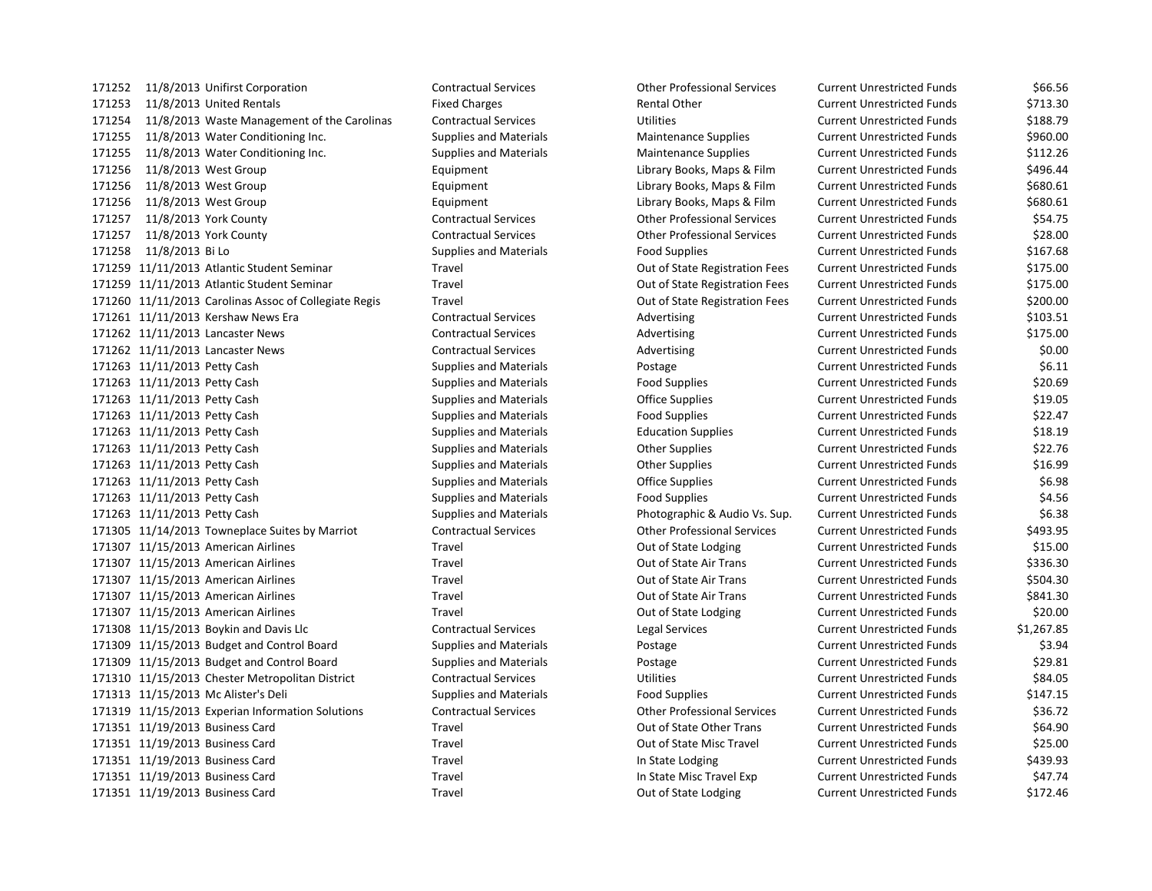11/8/2013 Unifirst Corporation Contractual Services Other Professional Services Current Unrestricted Funds \$66.56 171253 11/8/2013 United Rentals **Fixed Charges** Fixed Charges Rental Other Current Unrestricted Funds \$713.30 11/8/2013 Waste Management of the Carolinas Contractual Services Utilities Current Unrestricted Funds \$188.79 11/8/2013 Water Conditioning Inc. Supplies and Materials Maintenance Supplies Current Unrestricted Funds \$960.00 11/8/2013 Water Conditioning Inc. Supplies and Materials Maintenance Supplies Current Unrestricted Funds \$112.26 11/8/2013 West Group Equipment Library Books, Maps & Film Current Unrestricted Funds \$496.44 11/8/2013 West Group Equipment Library Books, Maps & Film Current Unrestricted Funds \$680.61 171256 11/8/2013 West Group **Equipment** Equipment Library Books, Maps & Film Current Unrestricted Funds \$680.61 11/8/2013 York County Contractual Services Other Professional Services Current Unrestricted Funds \$54.75 11/8/2013 York County Contractual Services Other Professional Services Current Unrestricted Funds \$28.00 171258 11/8/2013 Bi Lo Supplies and Materials Food Supplies Food Supplies Current Unrestricted Funds \$167.68 11/11/2013 Atlantic Student Seminar Travel Out of State Registration Fees Current Unrestricted Funds \$175.00 11/11/2013 Atlantic Student Seminar Travel Out of State Registration Fees Current Unrestricted Funds \$175.00 11/11/2013 Carolinas Assoc of Collegiate Regis Travel Out of State Registration Fees Current Unrestricted Funds \$200.00 171261 11/11/2013 Kershaw News Era **Contractual Services** Advertising Current Unrestricted Funds \$103.51 171262 11/11/2013 Lancaster News Contractual Services Advertising Current Unrestricted Funds \$175.00 171262 11/11/2013 Lancaster News Contractual Services Advertising Current Unrestricted Funds \$0.00 11/11/2013 Petty Cash Supplies and Materials Postage Current Unrestricted Funds \$6.11 11/11/2013 Petty Cash Supplies and Materials Food Supplies Current Unrestricted Funds \$20.69 11/11/2013 Petty Cash Supplies and Materials Office Supplies Current Unrestricted Funds \$19.05 11/11/2013 Petty Cash Supplies and Materials Food Supplies Current Unrestricted Funds \$22.47 11/11/2013 Petty Cash Supplies and Materials Education Supplies Current Unrestricted Funds \$18.19 11/11/2013 Petty Cash Supplies and Materials Other Supplies Current Unrestricted Funds \$22.76 11/11/2013 Petty Cash Supplies and Materials Other Supplies Current Unrestricted Funds \$16.99 11/11/2013 Petty Cash Supplies and Materials Office Supplies Current Unrestricted Funds \$6.98 171263 11/11/2013 Petty Cash Supplies and Materials Food Supplies Current Unrestricted Funds \$4.56 11/11/2013 Petty Cash Supplies and Materials Photographic & Audio Vs. Sup. Current Unrestricted Funds \$6.38 11/14/2013 Towneplace Suites by Marriot Contractual Services Other Professional Services Current Unrestricted Funds \$493.95 171307 11/15/2013 American Airlines **Travel** Travel **Out of State Lodging** Current Unrestricted Funds \$15.00 11/15/2013 American Airlines Travel Out of State Air Trans Current Unrestricted Funds \$336.30 11/15/2013 American Airlines Travel Out of State Air Trans Current Unrestricted Funds \$504.30 11/15/2013 American Airlines Travel Out of State Air Trans Current Unrestricted Funds \$841.30 11/15/2013 American Airlines Travel Out of State Lodging Current Unrestricted Funds \$20.00 11/15/2013 Boykin and Davis Llc Contractual Services Legal Services Current Unrestricted Funds \$1,267.85 11/15/2013 Budget and Control Board Supplies and Materials Postage Current Unrestricted Funds \$3.94 11/15/2013 Budget and Control Board Supplies and Materials Postage Current Unrestricted Funds \$29.81 11/15/2013 Chester Metropolitan District Contractual Services Utilities Current Unrestricted Funds \$84.05 11/15/2013 Mc Alister's Deli Supplies and Materials Food Supplies Current Unrestricted Funds \$147.15 11/15/2013 Experian Information Solutions Contractual Services Other Professional Services Current Unrestricted Funds \$36.72 11/19/2013 Business Card Travel Out of State Other Trans Current Unrestricted Funds \$64.90 11/19/2013 Business Card Travel Out of State Misc Travel Current Unrestricted Funds \$25.00 171351 11/19/2013 Business Card Travel Travel Travel In State Lodging Current Unrestricted Funds \$439.93 171351 11/19/2013 Business Card Travel Travel Travel In State Misc Travel Exp Current Unrestricted Funds \$47.74 171351 11/19/2013 Business Card Travel Travel Travel Out of State Lodging Current Unrestricted Funds \$172.46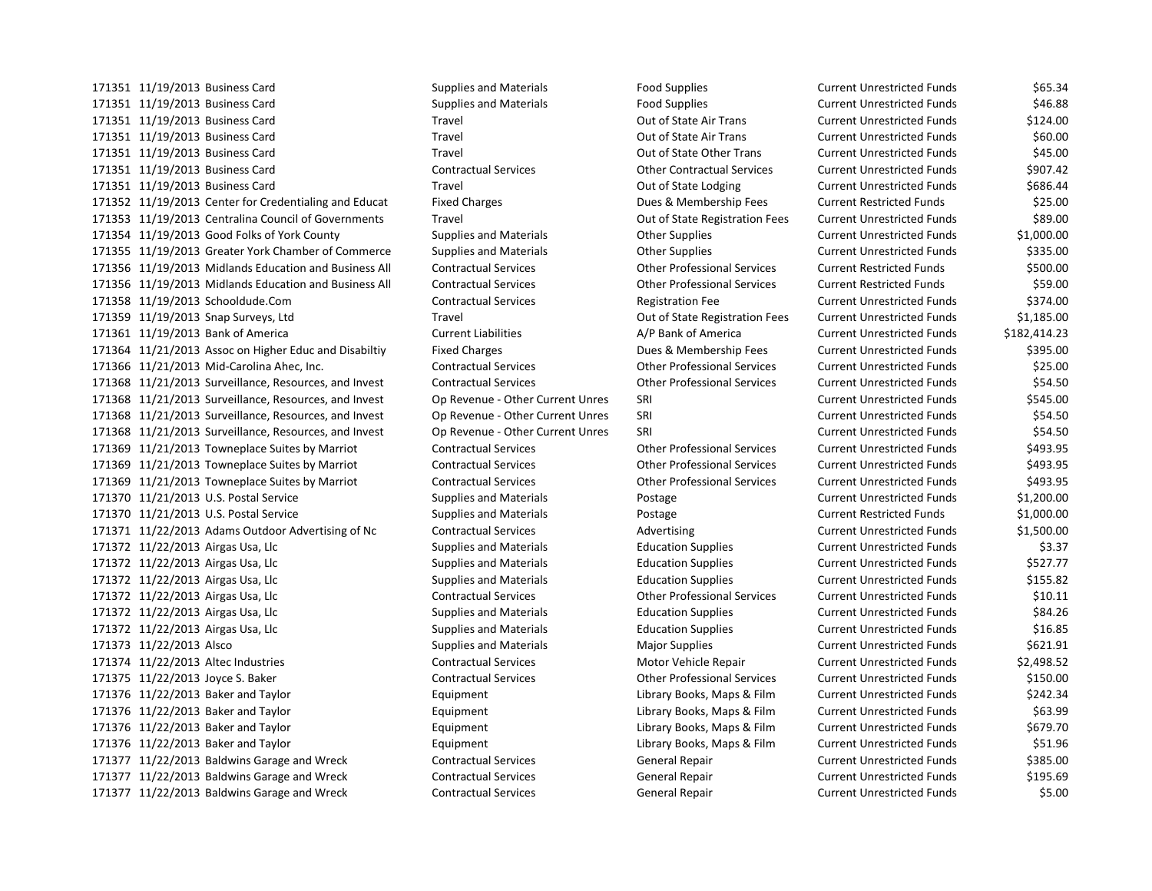11/19/2013 Business Card Supplies and Materials Food Supplies Current Unrestricted Funds \$65.34 11/19/2013 Business Card Supplies and Materials Food Supplies Current Unrestricted Funds \$46.88 11/19/2013 Business Card Travel Out of State Air Trans Current Unrestricted Funds \$124.00 11/19/2013 Business Card Travel Out of State Air Trans Current Unrestricted Funds \$60.00 11/19/2013 Business Card Travel Out of State Other Trans Current Unrestricted Funds \$45.00 11/19/2013 Business Card Contractual Services Other Contractual Services Current Unrestricted Funds \$907.42 171351 11/19/2013 Business Card Travel Travel Travel Out of State Lodging Current Unrestricted Funds \$686.44 11/19/2013 Center for Credentialing and Educat Fixed Charges Dues & Membership Fees Current Restricted Funds \$25.00 11/19/2013 Centralina Council of Governments Travel Out of State Registration Fees Current Unrestricted Funds \$89.00 11/19/2013 Good Folks of York County Supplies and Materials Other Supplies Current Unrestricted Funds \$1,000.00 11/19/2013 Greater York Chamber of Commerce Supplies and Materials Other Supplies Current Unrestricted Funds \$335.00 11/19/2013 Midlands Education and Business All Contractual Services Other Professional Services Current Restricted Funds \$500.00 11/19/2013 Midlands Education and Business All Contractual Services Other Professional Services Current Restricted Funds \$59.00 11/19/2013 Schooldude.Com Contractual Services Registration Fee Current Unrestricted Funds \$374.00 11/19/2013 Snap Surveys, Ltd Travel Out of State Registration Fees Current Unrestricted Funds \$1,185.00 11/19/2013 Bank of America Current Liabilities A/P Bank of America Current Unrestricted Funds \$182,414.23 11/21/2013 Assoc on Higher Educ and Disabiltiy Fixed Charges Dues & Membership Fees Current Unrestricted Funds \$395.00 11/21/2013 Mid-Carolina Ahec, Inc. Contractual Services Other Professional Services Current Unrestricted Funds \$25.00 11/21/2013 Surveillance, Resources, and Invest Contractual Services Other Professional Services Current Unrestricted Funds \$54.50 11/21/2013 Surveillance, Resources, and Invest Op Revenue - Other Current Unres SRI Current Unrestricted Funds \$545.00 11/21/2013 Surveillance, Resources, and Invest Op Revenue - Other Current Unres SRI Current Unrestricted Funds \$54.50 11/21/2013 Surveillance, Resources, and Invest Op Revenue - Other Current Unres SRI Current Unrestricted Funds \$54.50 11/21/2013 Towneplace Suites by Marriot Contractual Services Other Professional Services Current Unrestricted Funds \$493.95 11/21/2013 Towneplace Suites by Marriot Contractual Services Other Professional Services Current Unrestricted Funds \$493.95 11/21/2013 Towneplace Suites by Marriot Contractual Services Other Professional Services Current Unrestricted Funds \$493.95 11/21/2013 U.S. Postal Service Supplies and Materials Postage Current Unrestricted Funds \$1,200.00 11/21/2013 U.S. Postal Service Supplies and Materials Postage Current Restricted Funds \$1,000.00 11/22/2013 Adams Outdoor Advertising of Nc Contractual Services Advertising Current Unrestricted Funds \$1,500.00 171372 11/22/2013 Airgas Usa, Llc Supplies and Materials Education Supplies Current Unrestricted Funds \$3.37 11/22/2013 Airgas Usa, Llc Supplies and Materials Education Supplies Current Unrestricted Funds \$527.77 11/22/2013 Airgas Usa, Llc Supplies and Materials Education Supplies Current Unrestricted Funds \$155.82 11/22/2013 Airgas Usa, Llc Contractual Services Other Professional Services Current Unrestricted Funds \$10.11 11/22/2013 Airgas Usa, Llc Supplies and Materials Education Supplies Current Unrestricted Funds \$84.26 11/22/2013 Airgas Usa, Llc Supplies and Materials Education Supplies Current Unrestricted Funds \$16.85 171373 11/22/2013 Alsco **Supplies and Materials** Major Supplies Major Supplies Current Unrestricted Funds \$621.91 11/22/2013 Altec Industries Contractual Services Motor Vehicle Repair Current Unrestricted Funds \$2,498.52 11/22/2013 Joyce S. Baker Contractual Services Other Professional Services Current Unrestricted Funds \$150.00 171376 11/22/2013 Baker and Taylor Current Library Books, Maps & Film Current Unrestricted Funds \$242.34 11/22/2013 Baker and Taylor Equipment Library Books, Maps & Film Current Unrestricted Funds \$63.99 171376 11/22/2013 Baker and Taylor **Library Books, Maps & Film** Current Unrestricted Funds \$679.70 171376 11/22/2013 Baker and Taylor Current Library Books, Maps & Film Current Unrestricted Funds \$51.96 11/22/2013 Baldwins Garage and Wreck Contractual Services General Repair Current Unrestricted Funds \$385.00 11/22/2013 Baldwins Garage and Wreck Contractual Services General Repair Current Unrestricted Funds \$195.69 11/22/2013 Baldwins Garage and Wreck Contractual Services General Repair Current Unrestricted Funds \$5.00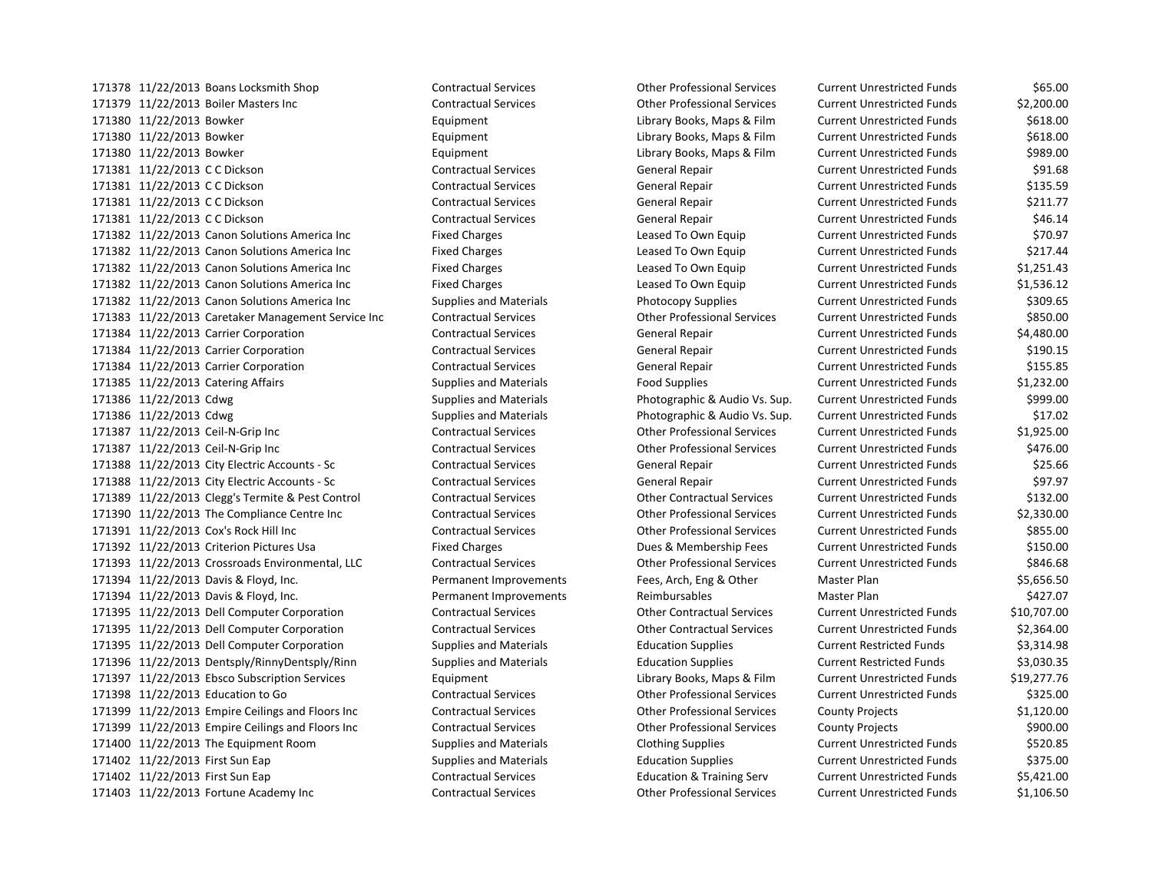11/22/2013 Boiler Masters Inc Contractual Services Other Professional Services Current Unrestricted Funds \$2,200.00 11/22/2013 Bowker Equipment Library Books, Maps & Film Current Unrestricted Funds \$618.00 11/22/2013 Bowker Equipment Library Books, Maps & Film Current Unrestricted Funds \$618.00 11/22/2013 Bowker Equipment Library Books, Maps & Film Current Unrestricted Funds \$989.00 11/22/2013 C C Dickson Contractual Services General Repair Current Unrestricted Funds \$91.68 11/22/2013 C C Dickson Contractual Services General Repair Current Unrestricted Funds \$135.59 11/22/2013 C C Dickson Contractual Services General Repair Current Unrestricted Funds \$211.77 11/22/2013 C C Dickson Contractual Services General Repair Current Unrestricted Funds \$46.14 11/22/2013 Canon Solutions America Inc Fixed Charges Leased To Own Equip Current Unrestricted Funds \$70.97 11/22/2013 Canon Solutions America Inc Fixed Charges Leased To Own Equip Current Unrestricted Funds \$217.44 11/22/2013 Canon Solutions America Inc Fixed Charges Leased To Own Equip Current Unrestricted Funds \$1,251.43 11/22/2013 Canon Solutions America Inc Fixed Charges Leased To Own Equip Current Unrestricted Funds \$1,536.12 171382 11/22/2013 Canon Solutions America Inc Supplies and Materials Photocopy Supplies Current Unrestricted Funds \$309.65 11/22/2013 Caretaker Management Service Inc Contractual Services Other Professional Services Current Unrestricted Funds \$850.00 11/22/2013 Carrier Corporation Contractual Services General Repair Current Unrestricted Funds \$4,480.00 11/22/2013 Carrier Corporation Contractual Services General Repair Current Unrestricted Funds \$190.15 11/22/2013 Carrier Corporation Contractual Services General Repair Current Unrestricted Funds \$155.85 11/22/2013 Catering Affairs Supplies and Materials Food Supplies Current Unrestricted Funds \$1,232.00 11/22/2013 Cdwg Supplies and Materials Photographic & Audio Vs. Sup. Current Unrestricted Funds \$999.00 11/22/2013 Cdwg Supplies and Materials Photographic & Audio Vs. Sup. Current Unrestricted Funds \$17.02 11/22/2013 Ceil-N-Grip Inc Contractual Services Other Professional Services Current Unrestricted Funds \$1,925.00 11/22/2013 Ceil-N-Grip Inc Contractual Services Other Professional Services Current Unrestricted Funds \$476.00 11/22/2013 City Electric Accounts - Sc Contractual Services General Repair Current Unrestricted Funds \$25.66 11/22/2013 City Electric Accounts - Sc Contractual Services General Repair Current Unrestricted Funds \$97.97 11/22/2013 Clegg's Termite & Pest Control Contractual Services Other Contractual Services Current Unrestricted Funds \$132.00 11/22/2013 The Compliance Centre Inc Contractual Services Other Professional Services Current Unrestricted Funds \$2,330.00 11/22/2013 Cox's Rock Hill Inc Contractual Services Other Professional Services Current Unrestricted Funds \$855.00 11/22/2013 Criterion Pictures Usa Fixed Charges Dues & Membership Fees Current Unrestricted Funds \$150.00 11/22/2013 Crossroads Environmental, LLC Contractual Services Other Professional Services Current Unrestricted Funds \$846.68 11/22/2013 Davis & Floyd, Inc. Permanent Improvements Fees, Arch, Eng & Other Master Plan \$5,656.50 11/22/2013 Davis & Floyd, Inc. Permanent Improvements Reimbursables Master Plan \$427.07 11/22/2013 Dell Computer Corporation Contractual Services Other Contractual Services Current Unrestricted Funds \$10,707.00 11/22/2013 Dell Computer Corporation Contractual Services Other Contractual Services Current Unrestricted Funds \$2,364.00 11/22/2013 Dell Computer Corporation Supplies and Materials Education Supplies Current Restricted Funds \$3,314.98 11/22/2013 Dentsply/RinnyDentsply/Rinn Supplies and Materials Education Supplies Current Restricted Funds \$3,030.35 11/22/2013 Ebsco Subscription Services Equipment Library Books, Maps & Film Current Unrestricted Funds \$19,277.76 11/22/2013 Education to Go Contractual Services Other Professional Services Current Unrestricted Funds \$325.00 11/22/2013 Empire Ceilings and Floors Inc Contractual Services Other Professional Services County Projects \$1,120.00 11/22/2013 Empire Ceilings and Floors Inc Contractual Services Other Professional Services County Projects \$900.00 11/22/2013 The Equipment Room Supplies and Materials Clothing Supplies Current Unrestricted Funds \$520.85 171402 11/22/2013 First Sun Eap Supplies and Materials Education Supplies Current Unrestricted Funds \$375.00 11/22/2013 First Sun Eap Contractual Services Education & Training Serv Current Unrestricted Funds \$5,421.00 11/22/2013 Fortune Academy Inc Contractual Services Other Professional Services Current Unrestricted Funds \$1,106.50

11/22/2013 Boans Locksmith Shop Contractual Services Other Professional Services Current Unrestricted Funds \$65.00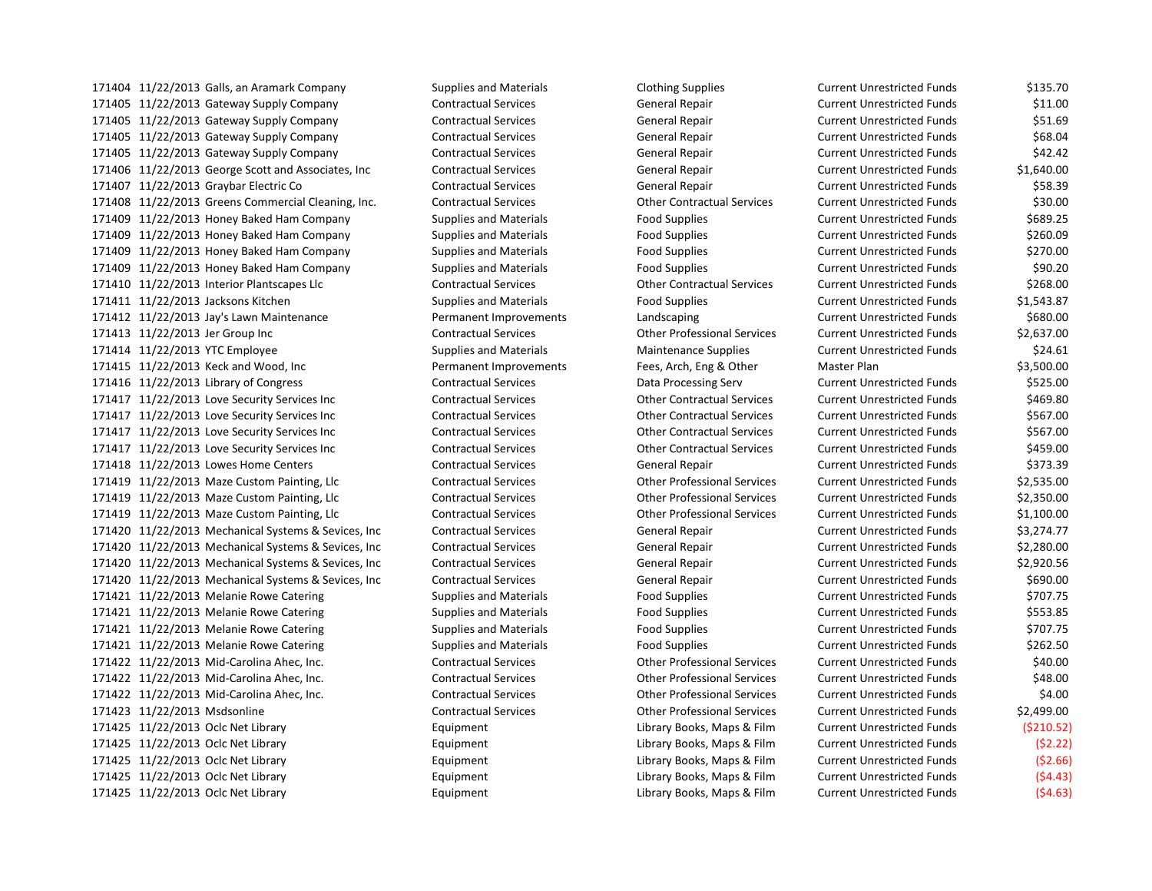11/22/2013 Galls, an Aramark Company Supplies and Materials Clothing Supplies Current Unrestricted Funds \$135.70 11/22/2013 Gateway Supply Company Contractual Services General Repair Current Unrestricted Funds \$11.00 11/22/2013 Gateway Supply Company Contractual Services General Repair Current Unrestricted Funds \$51.69 11/22/2013 Gateway Supply Company Contractual Services General Repair Current Unrestricted Funds \$68.04 11/22/2013 Gateway Supply Company Contractual Services General Repair Current Unrestricted Funds \$42.42 11/22/2013 George Scott and Associates, Inc Contractual Services General Repair Current Unrestricted Funds \$1,640.00 11/22/2013 Graybar Electric Co Contractual Services General Repair Current Unrestricted Funds \$58.39 11/22/2013 Greens Commercial Cleaning, Inc. Contractual Services Other Contractual Services Current Unrestricted Funds \$30.00 11/22/2013 Honey Baked Ham Company Supplies and Materials Food Supplies Current Unrestricted Funds \$689.25 11/22/2013 Honey Baked Ham Company Supplies and Materials Food Supplies Current Unrestricted Funds \$260.09 11/22/2013 Honey Baked Ham Company Supplies and Materials Food Supplies Current Unrestricted Funds \$270.00 11/22/2013 Honey Baked Ham Company Supplies and Materials Food Supplies Current Unrestricted Funds \$90.20 11/22/2013 Interior Plantscapes Llc Contractual Services Other Contractual Services Current Unrestricted Funds \$268.00 11/22/2013 Jacksons Kitchen Supplies and Materials Food Supplies Current Unrestricted Funds \$1,543.87 11/22/2013 Jay's Lawn Maintenance Permanent Improvements Landscaping Current Unrestricted Funds \$680.00 11/22/2013 Jer Group Inc Contractual Services Other Professional Services Current Unrestricted Funds \$2,637.00 11/22/2013 YTC Employee Supplies and Materials Maintenance Supplies Current Unrestricted Funds \$24.61 11/22/2013 Keck and Wood, Inc Permanent Improvements Fees, Arch, Eng & Other Master Plan \$3,500.00 11/22/2013 Library of Congress Contractual Services Data Processing Serv Current Unrestricted Funds \$525.00 11/22/2013 Love Security Services Inc Contractual Services Other Contractual Services Current Unrestricted Funds \$469.80 11/22/2013 Love Security Services Inc Contractual Services Other Contractual Services Current Unrestricted Funds \$567.00 11/22/2013 Love Security Services Inc Contractual Services Other Contractual Services Current Unrestricted Funds \$567.00 11/22/2013 Love Security Services Inc Contractual Services Other Contractual Services Current Unrestricted Funds \$459.00 11/22/2013 Lowes Home Centers Contractual Services General Repair Current Unrestricted Funds \$373.39 11/22/2013 Maze Custom Painting, Llc Contractual Services Other Professional Services Current Unrestricted Funds \$2,535.00 11/22/2013 Maze Custom Painting, Llc Contractual Services Other Professional Services Current Unrestricted Funds \$2,350.00 11/22/2013 Maze Custom Painting, Llc Contractual Services Other Professional Services Current Unrestricted Funds \$1,100.00 11/22/2013 Mechanical Systems & Sevices, Inc Contractual Services General Repair Current Unrestricted Funds \$3,274.77 11/22/2013 Mechanical Systems & Sevices, Inc Contractual Services General Repair Current Unrestricted Funds \$2,280.00 11/22/2013 Mechanical Systems & Sevices, Inc Contractual Services General Repair Current Unrestricted Funds \$2,920.56 11/22/2013 Mechanical Systems & Sevices, Inc Contractual Services General Repair Current Unrestricted Funds \$690.00 11/22/2013 Melanie Rowe Catering Supplies and Materials Food Supplies Current Unrestricted Funds \$707.75 171421 11/22/2013 Melanie Rowe Catering Supplies and Materials Food Supplies Food Supplies Current Unrestricted Funds \$553.85 11/22/2013 Melanie Rowe Catering Supplies and Materials Food Supplies Current Unrestricted Funds \$707.75 11/22/2013 Melanie Rowe Catering Supplies and Materials Food Supplies Current Unrestricted Funds \$262.50 11/22/2013 Mid-Carolina Ahec, Inc. Contractual Services Other Professional Services Current Unrestricted Funds \$40.00 11/22/2013 Mid-Carolina Ahec, Inc. Contractual Services Other Professional Services Current Unrestricted Funds \$48.00 11/22/2013 Mid-Carolina Ahec, Inc. Contractual Services Other Professional Services Current Unrestricted Funds \$4.00 11/22/2013 Msdsonline Contractual Services Other Professional Services Current Unrestricted Funds \$2,499.00 11/22/2013 Oclc Net Library Equipment Library Books, Maps & Film Current Unrestricted Funds (\$210.52) 11/22/2013 Oclc Net Library Equipment Library Books, Maps & Film Current Unrestricted Funds (\$2.22) 11/22/2013 Oclc Net Library Equipment Library Books, Maps & Film Current Unrestricted Funds (\$2.66) 11/22/2013 Oclc Net Library Equipment Library Books, Maps & Film Current Unrestricted Funds (\$4.43) 171425 11/22/2013 Oclc Net Library **Library Equipment** Equipment Library Books, Maps & Film Current Unrestricted Funds (\$4.63)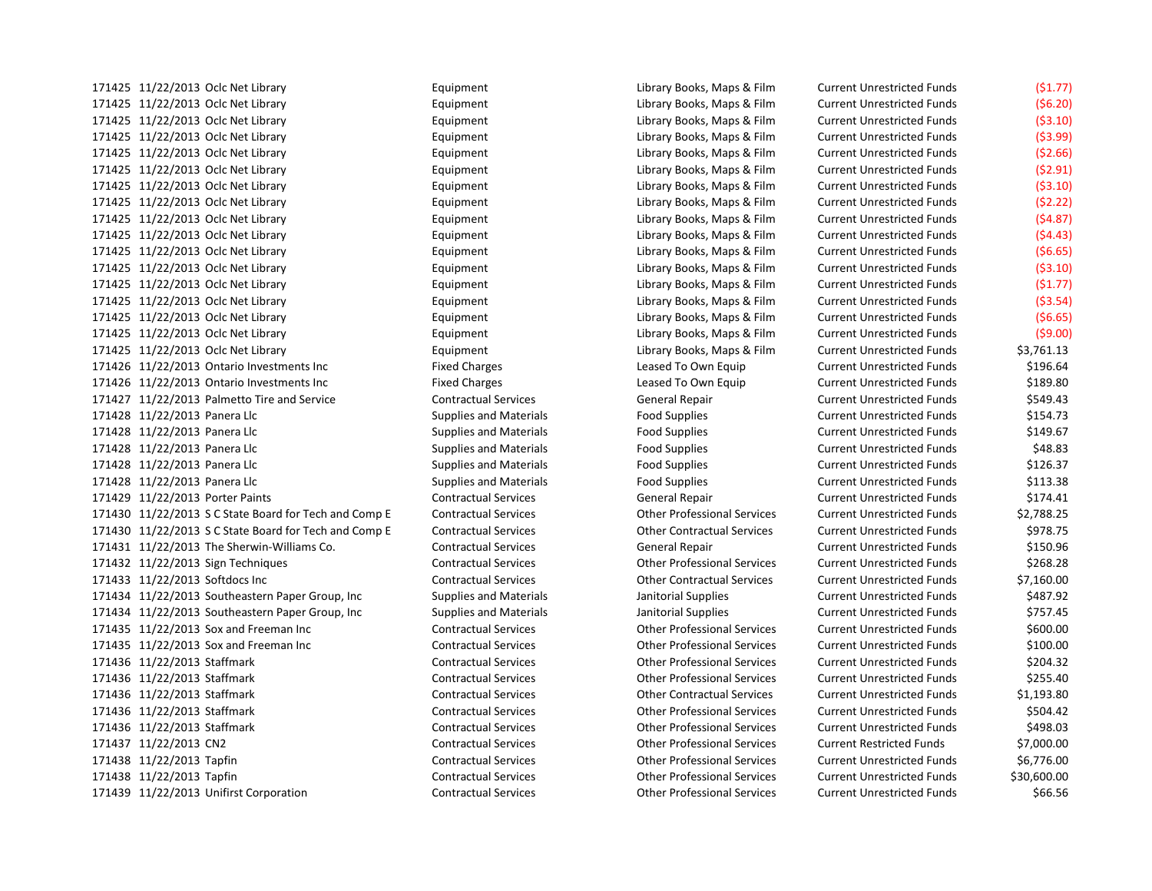11/22/2013 Oclc Net Library Equipment Library Books, Maps & Film Current Unrestricted Funds (\$6.20) 11/22/2013 Oclc Net Library Equipment Library Books, Maps & Film Current Unrestricted Funds (\$3.10) 11/22/2013 Oclc Net Library Equipment Library Books, Maps & Film Current Unrestricted Funds (\$3.99) 11/22/2013 Oclc Net Library Equipment Library Books, Maps & Film Current Unrestricted Funds (\$2.66) 11/22/2013 Oclc Net Library Equipment Library Books, Maps & Film Current Unrestricted Funds (\$2.91) 11/22/2013 Oclc Net Library Equipment Library Books, Maps & Film Current Unrestricted Funds (\$3.10) 11/22/2013 Oclc Net Library Equipment Library Books, Maps & Film Current Unrestricted Funds (\$2.22) 11/22/2013 Oclc Net Library Equipment Library Books, Maps & Film Current Unrestricted Funds (\$4.87) 11/22/2013 Oclc Net Library Equipment Library Books, Maps & Film Current Unrestricted Funds (\$4.43) 11/22/2013 Oclc Net Library Equipment Library Books, Maps & Film Current Unrestricted Funds (\$6.65) 11/22/2013 Oclc Net Library Equipment Library Books, Maps & Film Current Unrestricted Funds (\$3.10) 11/22/2013 Oclc Net Library Equipment Library Books, Maps & Film Current Unrestricted Funds (\$1.77) 11/22/2013 Oclc Net Library Equipment Library Books, Maps & Film Current Unrestricted Funds (\$3.54) 11/22/2013 Oclc Net Library Equipment Library Books, Maps & Film Current Unrestricted Funds (\$6.65) 11/22/2013 Oclc Net Library Equipment Library Books, Maps & Film Current Unrestricted Funds (\$9.00) 11/22/2013 Oclc Net Library Equipment Library Books, Maps & Film Current Unrestricted Funds \$3,761.13 11/22/2013 Ontario Investments Inc Fixed Charges Leased To Own Equip Current Unrestricted Funds \$196.64 11/22/2013 Ontario Investments Inc Fixed Charges Leased To Own Equip Current Unrestricted Funds \$189.80 11/22/2013 Palmetto Tire and Service Contractual Services General Repair Current Unrestricted Funds \$549.43 11/22/2013 Panera Llc Supplies and Materials Food Supplies Current Unrestricted Funds \$154.73 171428 11/22/2013 Panera Llc Supplies and Materials Food Supplies Food Supplies Current Unrestricted Funds \$149.67 171428 11/22/2013 Panera Llc **Supplies and Materials** Food Supplies Food Supplies Current Unrestricted Funds \$48.83 11/22/2013 Panera Llc Supplies and Materials Food Supplies Current Unrestricted Funds \$126.37 11/22/2013 Panera Llc Supplies and Materials Food Supplies Current Unrestricted Funds \$113.38 11/22/2013 Porter Paints Contractual Services General Repair Current Unrestricted Funds \$174.41 11/22/2013 S C State Board for Tech and Comp E Contractual Services Other Professional Services Current Unrestricted Funds \$2,788.25 11/22/2013 S C State Board for Tech and Comp E Contractual Services Other Contractual Services Current Unrestricted Funds \$978.75 11/22/2013 The Sherwin-Williams Co. Contractual Services General Repair Current Unrestricted Funds \$150.96 11/22/2013 Sign Techniques Contractual Services Other Professional Services Current Unrestricted Funds \$268.28 11/22/2013 Softdocs Inc Contractual Services Other Contractual Services Current Unrestricted Funds \$7,160.00 11/22/2013 Southeastern Paper Group, Inc Supplies and Materials Janitorial Supplies Current Unrestricted Funds \$487.92 171434 11/22/2013 Southeastern Paper Group, Inc Supplies and Materials Janitorial Supplies Current Unrestricted Funds \$757.45 11/22/2013 Sox and Freeman Inc Contractual Services Other Professional Services Current Unrestricted Funds \$600.00 11/22/2013 Sox and Freeman Inc Contractual Services Other Professional Services Current Unrestricted Funds \$100.00 11/22/2013 Staffmark Contractual Services Other Professional Services Current Unrestricted Funds \$204.32 11/22/2013 Staffmark Contractual Services Other Professional Services Current Unrestricted Funds \$255.40 11/22/2013 Staffmark Contractual Services Other Contractual Services Current Unrestricted Funds \$1,193.80 11/22/2013 Staffmark Contractual Services Other Professional Services Current Unrestricted Funds \$504.42 11/22/2013 Staffmark Contractual Services Other Professional Services Current Unrestricted Funds \$498.03 11/22/2013 CN2 Contractual Services Other Professional Services Current Restricted Funds \$7,000.00 11/22/2013 Tapfin Contractual Services Other Professional Services Current Unrestricted Funds \$6,776.00 11/22/2013 Tapfin Contractual Services Other Professional Services Current Unrestricted Funds \$30,600.00

 11/22/2013 Oclc Net Library Equipment Library Books, Maps & Film Current Unrestricted Funds (\$1.77) 11/22/2013 Unifirst Corporation Contractual Services Other Professional Services Current Unrestricted Funds \$66.56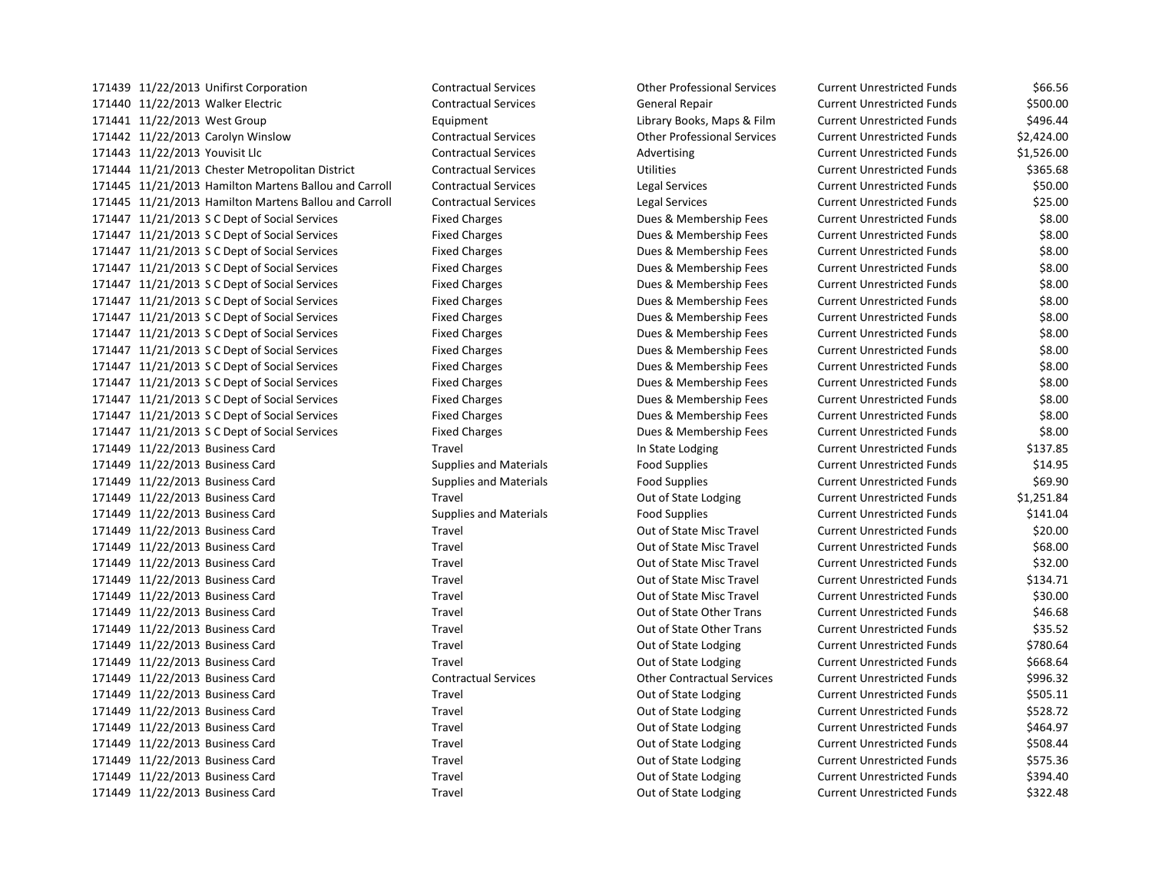11/22/2013 Walker Electric Contractual Services General Repair Current Unrestricted Funds \$500.00 11/22/2013 West Group Equipment Library Books, Maps & Film Current Unrestricted Funds \$496.44 11/22/2013 Carolyn Winslow Contractual Services Other Professional Services Current Unrestricted Funds \$2,424.00 11/22/2013 Youvisit Llc Contractual Services Advertising Current Unrestricted Funds \$1,526.00 11/21/2013 Chester Metropolitan District Contractual Services Utilities Current Unrestricted Funds \$365.68 11/21/2013 Hamilton Martens Ballou and Carroll Contractual Services Legal Services Current Unrestricted Funds \$50.00 11/21/2013 Hamilton Martens Ballou and Carroll Contractual Services Legal Services Current Unrestricted Funds \$25.00 11/21/2013 S C Dept of Social Services Fixed Charges Dues & Membership Fees Current Unrestricted Funds \$8.00 11/21/2013 S C Dept of Social Services Fixed Charges Dues & Membership Fees Current Unrestricted Funds \$8.00 11/21/2013 S C Dept of Social Services Fixed Charges Dues & Membership Fees Current Unrestricted Funds \$8.00 11/21/2013 S C Dept of Social Services Fixed Charges Dues & Membership Fees Current Unrestricted Funds \$8.00 11/21/2013 S C Dept of Social Services Fixed Charges Dues & Membership Fees Current Unrestricted Funds \$8.00 11/21/2013 S C Dept of Social Services Fixed Charges Dues & Membership Fees Current Unrestricted Funds \$8.00 11/21/2013 S C Dept of Social Services Fixed Charges Dues & Membership Fees Current Unrestricted Funds \$8.00 11/21/2013 S C Dept of Social Services Fixed Charges Dues & Membership Fees Current Unrestricted Funds \$8.00 11/21/2013 S C Dept of Social Services Fixed Charges Dues & Membership Fees Current Unrestricted Funds \$8.00 11/21/2013 S C Dept of Social Services Fixed Charges Dues & Membership Fees Current Unrestricted Funds \$8.00 11/21/2013 S C Dept of Social Services Fixed Charges Dues & Membership Fees Current Unrestricted Funds \$8.00 11/21/2013 S C Dept of Social Services Fixed Charges Dues & Membership Fees Current Unrestricted Funds \$8.00 11/21/2013 S C Dept of Social Services Fixed Charges Dues & Membership Fees Current Unrestricted Funds \$8.00 11/21/2013 S C Dept of Social Services Fixed Charges Dues & Membership Fees Current Unrestricted Funds \$8.00 11/22/2013 Business Card Travel In State Lodging Current Unrestricted Funds \$137.85 11/22/2013 Business Card Supplies and Materials Food Supplies Current Unrestricted Funds \$14.95 11/22/2013 Business Card Supplies and Materials Food Supplies Current Unrestricted Funds \$69.90 11/22/2013 Business Card Travel Out of State Lodging Current Unrestricted Funds \$1,251.84 11/22/2013 Business Card Supplies and Materials Food Supplies Current Unrestricted Funds \$141.04 11/22/2013 Business Card Travel Out of State Misc Travel Current Unrestricted Funds \$20.00 11/22/2013 Business Card Travel Out of State Misc Travel Current Unrestricted Funds \$68.00 11/22/2013 Business Card Travel Out of State Misc Travel Current Unrestricted Funds \$32.00 11/22/2013 Business Card Travel Out of State Misc Travel Current Unrestricted Funds \$134.71 11/22/2013 Business Card Travel Out of State Misc Travel Current Unrestricted Funds \$30.00 11/22/2013 Business Card Travel Out of State Other Trans Current Unrestricted Funds \$46.68 11/22/2013 Business Card Travel Out of State Other Trans Current Unrestricted Funds \$35.52 171449 11/22/2013 Business Card Travel Travel Travel Out of State Lodging Current Unrestricted Funds \$780.64 171449 11/22/2013 Business Card Travel Travel Travel Out of State Lodging Current Unrestricted Funds \$668.64 11/22/2013 Business Card Contractual Services Other Contractual Services Current Unrestricted Funds \$996.32 11/22/2013 Business Card Travel Out of State Lodging Current Unrestricted Funds \$505.11 11/22/2013 Business Card Travel Out of State Lodging Current Unrestricted Funds \$528.72 171449 11/22/2013 Business Card Travel Travel Travel Out of State Lodging Current Unrestricted Funds \$464.97 171449 11/22/2013 Business Card Travel Travel Travel Out of State Lodging Current Unrestricted Funds \$508.44 171449 11/22/2013 Business Card Travel Travel Travel Out of State Lodging Current Unrestricted Funds \$575.36 171449 11/22/2013 Business Card Travel Travel Travel Out of State Lodging Current Unrestricted Funds \$394.40 11/22/2013 Business Card Travel Out of State Lodging Current Unrestricted Funds \$322.48

11/22/2013 Unifirst Corporation Contractual Services Other Professional Services Current Unrestricted Funds \$66.56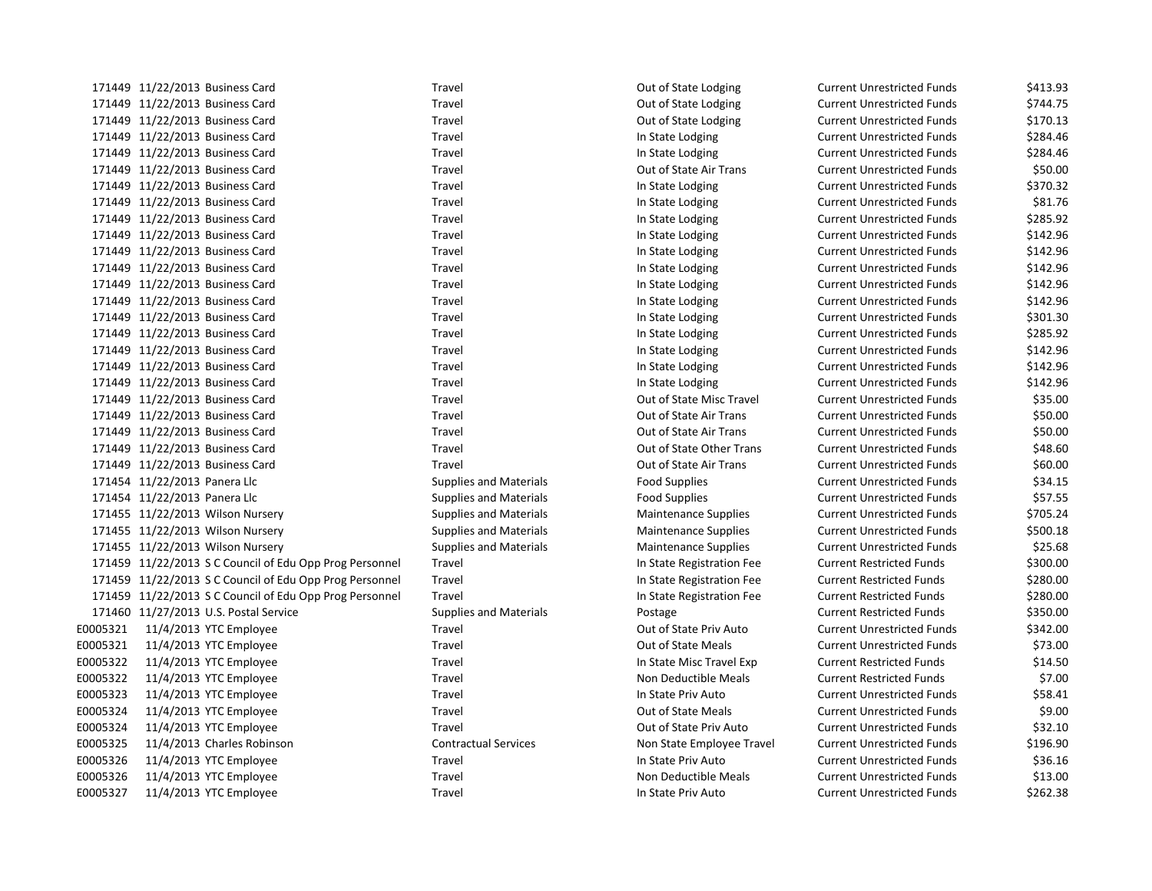|          | 171449 11/22/2013 Business Card                         | Travel                        | Out of State Lodging        | <b>Current Unrestricted Funds</b> | \$413.93 |
|----------|---------------------------------------------------------|-------------------------------|-----------------------------|-----------------------------------|----------|
|          | 171449 11/22/2013 Business Card                         | Travel                        | Out of State Lodging        | <b>Current Unrestricted Funds</b> | \$744.75 |
|          | 171449 11/22/2013 Business Card                         | Travel                        | Out of State Lodging        | <b>Current Unrestricted Funds</b> | \$170.13 |
|          | 171449 11/22/2013 Business Card                         | Travel                        | In State Lodging            | <b>Current Unrestricted Funds</b> | \$284.46 |
|          | 171449 11/22/2013 Business Card                         | Travel                        | In State Lodging            | <b>Current Unrestricted Funds</b> | \$284.46 |
|          | 171449 11/22/2013 Business Card                         | Travel                        | Out of State Air Trans      | <b>Current Unrestricted Funds</b> | \$50.00  |
|          | 171449 11/22/2013 Business Card                         | Travel                        | In State Lodging            | <b>Current Unrestricted Funds</b> | \$370.32 |
|          | 171449 11/22/2013 Business Card                         | Travel                        | In State Lodging            | <b>Current Unrestricted Funds</b> | \$81.76  |
|          | 171449 11/22/2013 Business Card                         | Travel                        | In State Lodging            | <b>Current Unrestricted Funds</b> | \$285.92 |
|          | 171449 11/22/2013 Business Card                         | Travel                        | In State Lodging            | <b>Current Unrestricted Funds</b> | \$142.96 |
|          | 171449 11/22/2013 Business Card                         | Travel                        | In State Lodging            | <b>Current Unrestricted Funds</b> | \$142.96 |
|          | 171449 11/22/2013 Business Card                         | Travel                        | In State Lodging            | <b>Current Unrestricted Funds</b> | \$142.96 |
|          | 171449 11/22/2013 Business Card                         | Travel                        | In State Lodging            | <b>Current Unrestricted Funds</b> | \$142.96 |
|          | 171449 11/22/2013 Business Card                         | Travel                        | In State Lodging            | <b>Current Unrestricted Funds</b> | \$142.96 |
|          | 171449 11/22/2013 Business Card                         | Travel                        | In State Lodging            | <b>Current Unrestricted Funds</b> | \$301.30 |
|          | 171449 11/22/2013 Business Card                         | Travel                        | In State Lodging            | <b>Current Unrestricted Funds</b> | \$285.92 |
|          | 171449 11/22/2013 Business Card                         | Travel                        | In State Lodging            | <b>Current Unrestricted Funds</b> | \$142.96 |
|          | 171449 11/22/2013 Business Card                         | Travel                        | In State Lodging            | <b>Current Unrestricted Funds</b> | \$142.96 |
|          | 171449 11/22/2013 Business Card                         | Travel                        | In State Lodging            | <b>Current Unrestricted Funds</b> | \$142.96 |
|          | 171449 11/22/2013 Business Card                         | Travel                        | Out of State Misc Travel    | <b>Current Unrestricted Funds</b> | \$35.00  |
|          | 171449 11/22/2013 Business Card                         | Travel                        | Out of State Air Trans      | <b>Current Unrestricted Funds</b> | \$50.00  |
|          | 171449 11/22/2013 Business Card                         | Travel                        | Out of State Air Trans      | <b>Current Unrestricted Funds</b> | \$50.00  |
|          | 171449 11/22/2013 Business Card                         | Travel                        | Out of State Other Trans    | <b>Current Unrestricted Funds</b> | \$48.60  |
|          | 171449 11/22/2013 Business Card                         | Travel                        | Out of State Air Trans      | <b>Current Unrestricted Funds</b> | \$60.00  |
|          | 171454 11/22/2013 Panera Llc                            | <b>Supplies and Materials</b> | <b>Food Supplies</b>        | <b>Current Unrestricted Funds</b> | \$34.15  |
|          | 171454 11/22/2013 Panera Llc                            | <b>Supplies and Materials</b> | <b>Food Supplies</b>        | <b>Current Unrestricted Funds</b> | \$57.55  |
|          | 171455 11/22/2013 Wilson Nursery                        | <b>Supplies and Materials</b> | <b>Maintenance Supplies</b> | <b>Current Unrestricted Funds</b> | \$705.24 |
|          | 171455 11/22/2013 Wilson Nursery                        | <b>Supplies and Materials</b> | Maintenance Supplies        | <b>Current Unrestricted Funds</b> | \$500.18 |
|          | 171455 11/22/2013 Wilson Nursery                        | <b>Supplies and Materials</b> | <b>Maintenance Supplies</b> | <b>Current Unrestricted Funds</b> | \$25.68  |
|          | 171459 11/22/2013 S C Council of Edu Opp Prog Personnel | Travel                        | In State Registration Fee   | <b>Current Restricted Funds</b>   | \$300.00 |
|          | 171459 11/22/2013 S C Council of Edu Opp Prog Personnel | Travel                        | In State Registration Fee   | <b>Current Restricted Funds</b>   | \$280.00 |
|          | 171459 11/22/2013 S C Council of Edu Opp Prog Personnel | Travel                        | In State Registration Fee   | <b>Current Restricted Funds</b>   | \$280.00 |
|          | 171460 11/27/2013 U.S. Postal Service                   | <b>Supplies and Materials</b> | Postage                     | <b>Current Restricted Funds</b>   | \$350.00 |
| E0005321 | 11/4/2013 YTC Employee                                  | Travel                        | Out of State Priv Auto      | <b>Current Unrestricted Funds</b> | \$342.00 |
| E0005321 | 11/4/2013 YTC Employee                                  | Travel                        | Out of State Meals          | <b>Current Unrestricted Funds</b> | \$73.00  |
| E0005322 | 11/4/2013 YTC Employee                                  | Travel                        | In State Misc Travel Exp    | <b>Current Restricted Funds</b>   | \$14.50  |
| E0005322 | 11/4/2013 YTC Employee                                  | Travel                        | Non Deductible Meals        | <b>Current Restricted Funds</b>   | \$7.00   |
| E0005323 | 11/4/2013 YTC Employee                                  | Travel                        | In State Priv Auto          | <b>Current Unrestricted Funds</b> | \$58.41  |
| E0005324 | 11/4/2013 YTC Employee                                  | Travel                        | Out of State Meals          | <b>Current Unrestricted Funds</b> | \$9.00   |
| E0005324 | 11/4/2013 YTC Employee                                  | Travel                        | Out of State Priv Auto      | <b>Current Unrestricted Funds</b> | \$32.10  |
| E0005325 | 11/4/2013 Charles Robinson                              | <b>Contractual Services</b>   | Non State Employee Travel   | <b>Current Unrestricted Funds</b> | \$196.90 |
| E0005326 | 11/4/2013 YTC Employee                                  | Travel                        | In State Priv Auto          | <b>Current Unrestricted Funds</b> | \$36.16  |
| E0005326 | 11/4/2013 YTC Employee                                  | Travel                        | Non Deductible Meals        | <b>Current Unrestricted Funds</b> | \$13.00  |
| E0005327 | 11/4/2013 YTC Employee                                  | Travel                        | In State Priv Auto          | <b>Current Unrestricted Funds</b> | \$262.38 |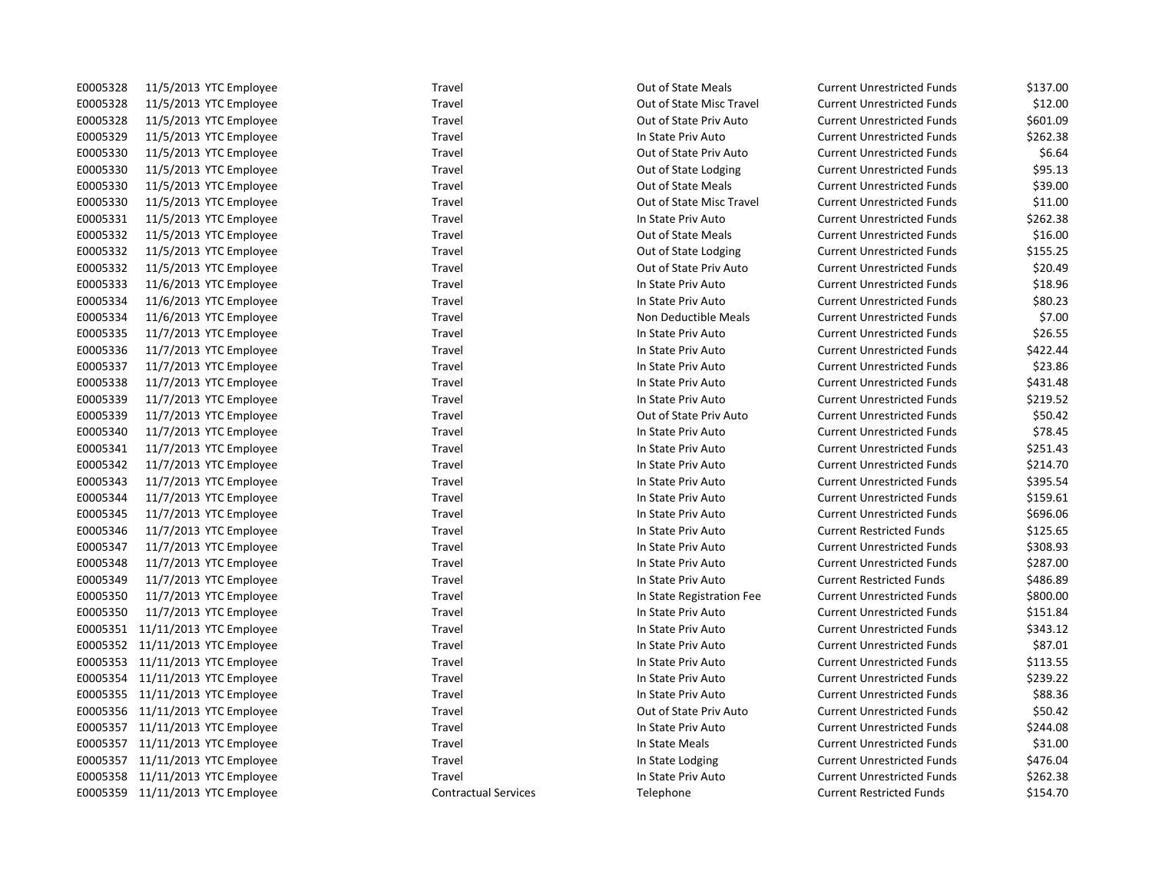| E0005328 | 11/5/2013 YTC Employee           | Travel                      | <b>Out of State Meals</b> | <b>Current Unrestricted Funds</b> | \$137.00 |
|----------|----------------------------------|-----------------------------|---------------------------|-----------------------------------|----------|
| E0005328 | 11/5/2013 YTC Employee           | Travel                      | Out of State Misc Travel  | <b>Current Unrestricted Funds</b> | \$12.00  |
| E0005328 | 11/5/2013 YTC Employee           | Travel                      | Out of State Priv Auto    | <b>Current Unrestricted Funds</b> | \$601.09 |
| E0005329 | 11/5/2013 YTC Employee           | Travel                      | In State Priv Auto        | <b>Current Unrestricted Funds</b> | \$262.38 |
| E0005330 | 11/5/2013 YTC Employee           | Travel                      | Out of State Priv Auto    | <b>Current Unrestricted Funds</b> | \$6.64   |
| E0005330 | 11/5/2013 YTC Employee           | Travel                      | Out of State Lodging      | <b>Current Unrestricted Funds</b> | \$95.13  |
| E0005330 | 11/5/2013 YTC Employee           | Travel                      | Out of State Meals        | <b>Current Unrestricted Funds</b> | \$39.00  |
| E0005330 | 11/5/2013 YTC Employee           | Travel                      | Out of State Misc Travel  | <b>Current Unrestricted Funds</b> | \$11.00  |
| E0005331 | 11/5/2013 YTC Employee           | Travel                      | In State Priv Auto        | <b>Current Unrestricted Funds</b> | \$262.38 |
| E0005332 | 11/5/2013 YTC Employee           | Travel                      | <b>Out of State Meals</b> | <b>Current Unrestricted Funds</b> | \$16.00  |
| E0005332 | 11/5/2013 YTC Employee           | Travel                      | Out of State Lodging      | <b>Current Unrestricted Funds</b> | \$155.25 |
| E0005332 | 11/5/2013 YTC Employee           | Travel                      | Out of State Priv Auto    | <b>Current Unrestricted Funds</b> | \$20.49  |
| E0005333 | 11/6/2013 YTC Employee           | Travel                      | In State Priv Auto        | <b>Current Unrestricted Funds</b> | \$18.96  |
| E0005334 | 11/6/2013 YTC Employee           | Travel                      | In State Priv Auto        | <b>Current Unrestricted Funds</b> | \$80.23  |
| E0005334 | 11/6/2013 YTC Employee           | Travel                      | Non Deductible Meals      | <b>Current Unrestricted Funds</b> | \$7.00   |
| E0005335 | 11/7/2013 YTC Employee           | Travel                      | In State Priv Auto        | <b>Current Unrestricted Funds</b> | \$26.55  |
| E0005336 | 11/7/2013 YTC Employee           | Travel                      | In State Priv Auto        | <b>Current Unrestricted Funds</b> | \$422.44 |
| E0005337 | 11/7/2013 YTC Employee           | Travel                      | In State Priv Auto        | <b>Current Unrestricted Funds</b> | \$23.86  |
| E0005338 | 11/7/2013 YTC Employee           | Travel                      | In State Priv Auto        | <b>Current Unrestricted Funds</b> | \$431.48 |
| E0005339 | 11/7/2013 YTC Employee           | Travel                      | In State Priv Auto        | <b>Current Unrestricted Funds</b> | \$219.52 |
| E0005339 | 11/7/2013 YTC Employee           | Travel                      | Out of State Priv Auto    | <b>Current Unrestricted Funds</b> | \$50.42  |
| E0005340 | 11/7/2013 YTC Employee           | Travel                      | In State Priv Auto        | <b>Current Unrestricted Funds</b> | \$78.45  |
| E0005341 | 11/7/2013 YTC Employee           | Travel                      | In State Priv Auto        | <b>Current Unrestricted Funds</b> | \$251.43 |
| E0005342 | 11/7/2013 YTC Employee           | Travel                      | In State Priv Auto        | <b>Current Unrestricted Funds</b> | \$214.70 |
| E0005343 | 11/7/2013 YTC Employee           | Travel                      | In State Priv Auto        | <b>Current Unrestricted Funds</b> | \$395.54 |
| E0005344 | 11/7/2013 YTC Employee           | Travel                      | In State Priv Auto        | <b>Current Unrestricted Funds</b> | \$159.61 |
| E0005345 | 11/7/2013 YTC Employee           | Travel                      | In State Priv Auto        | <b>Current Unrestricted Funds</b> | \$696.06 |
| E0005346 | 11/7/2013 YTC Employee           | Travel                      | In State Priv Auto        | <b>Current Restricted Funds</b>   | \$125.65 |
| E0005347 | 11/7/2013 YTC Employee           | Travel                      | In State Priv Auto        | <b>Current Unrestricted Funds</b> | \$308.93 |
| E0005348 | 11/7/2013 YTC Employee           | Travel                      | In State Priv Auto        | <b>Current Unrestricted Funds</b> | \$287.00 |
| E0005349 | 11/7/2013 YTC Employee           | Travel                      | In State Priv Auto        | <b>Current Restricted Funds</b>   | \$486.89 |
| E0005350 | 11/7/2013 YTC Employee           | Travel                      | In State Registration Fee | <b>Current Unrestricted Funds</b> | \$800.00 |
| E0005350 | 11/7/2013 YTC Employee           | Travel                      | In State Priv Auto        | <b>Current Unrestricted Funds</b> | \$151.84 |
|          | E0005351 11/11/2013 YTC Employee | Travel                      | In State Priv Auto        | <b>Current Unrestricted Funds</b> | \$343.12 |
|          | E0005352 11/11/2013 YTC Employee | Travel                      | In State Priv Auto        | <b>Current Unrestricted Funds</b> | \$87.01  |
|          | E0005353 11/11/2013 YTC Employee | Travel                      | In State Priv Auto        | <b>Current Unrestricted Funds</b> | \$113.55 |
|          | E0005354 11/11/2013 YTC Employee | Travel                      | In State Priv Auto        | <b>Current Unrestricted Funds</b> | \$239.22 |
|          | E0005355 11/11/2013 YTC Employee | Travel                      | In State Priv Auto        | <b>Current Unrestricted Funds</b> | \$88.36  |
|          | E0005356 11/11/2013 YTC Employee | Travel                      | Out of State Priv Auto    | <b>Current Unrestricted Funds</b> | \$50.42  |
|          | E0005357 11/11/2013 YTC Employee | Travel                      | In State Priv Auto        | <b>Current Unrestricted Funds</b> | \$244.08 |
|          | E0005357 11/11/2013 YTC Employee | Travel                      | In State Meals            | <b>Current Unrestricted Funds</b> | \$31.00  |
|          | E0005357 11/11/2013 YTC Employee | Travel                      | In State Lodging          | <b>Current Unrestricted Funds</b> | \$476.04 |
|          | E0005358 11/11/2013 YTC Employee | Travel                      | In State Priv Auto        | <b>Current Unrestricted Funds</b> | \$262.38 |
|          | E0005359 11/11/2013 YTC Employee | <b>Contractual Services</b> | Telephone                 | <b>Current Restricted Funds</b>   | \$154.70 |
|          |                                  |                             |                           |                                   |          |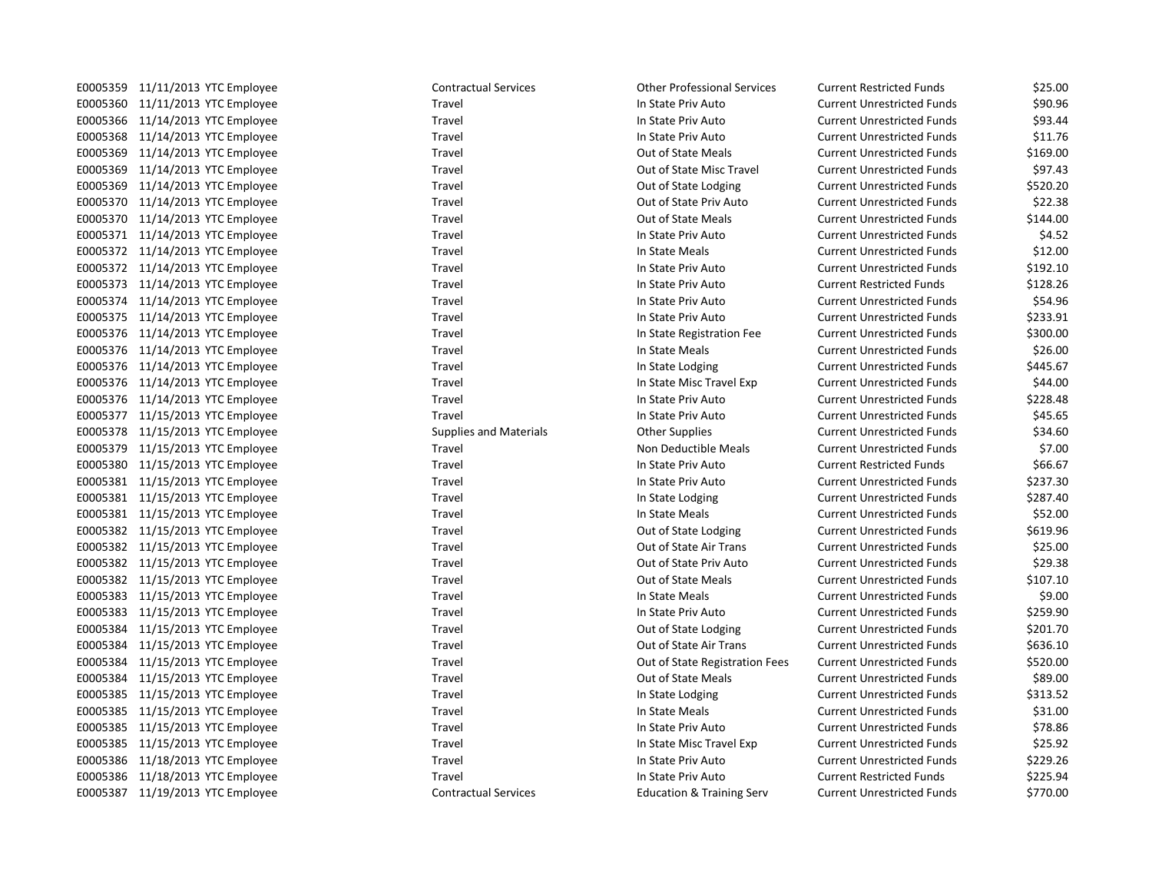| E0005359 | 11/11/2013<br>YTC Employee        |
|----------|-----------------------------------|
| E0005360 | 11/11/2013<br><b>YTC Employee</b> |
| E0005366 | 11/14/2013<br><b>YTC Employee</b> |
| E0005368 | 11/14/2013<br><b>YTC Employee</b> |
| E0005369 | 11/14/2013<br><b>YTC Employee</b> |
| E0005369 | 11/14/2013<br><b>YTC Employee</b> |
| E0005369 | 11/14/2013<br><b>YTC Employee</b> |
| E0005370 | 11/14/2013<br><b>YTC Employee</b> |
| E0005370 | 11/14/2013<br><b>YTC Employee</b> |
| E0005371 | 11/14/2013<br><b>YTC Employee</b> |
| E0005372 | 11/14/2013<br><b>YTC Employee</b> |
| E0005372 | 11/14/2013<br><b>YTC Employee</b> |
| E0005373 | 11/14/2013<br><b>YTC Employee</b> |
| E0005374 | 11/14/2013<br><b>YTC Employee</b> |
| E0005375 | 11/14/2013<br><b>YTC Employee</b> |
| E0005376 | <b>YTC Employee</b><br>11/14/2013 |
| E0005376 | 11/14/2013<br><b>YTC Employee</b> |
| E0005376 | 11/14/2013<br><b>YTC Employee</b> |
| E0005376 | 11/14/2013<br><b>YTC Employee</b> |
| E0005376 | 11/14/2013<br><b>YTC Employee</b> |
| E0005377 | 11/15/2013<br><b>YTC Employee</b> |
| E0005378 | 11/15/2013<br><b>YTC Employee</b> |
| E0005379 | <b>YTC Employee</b><br>11/15/2013 |
| E0005380 | 11/15/2013<br><b>YTC Employee</b> |
| E0005381 | 11/15/2013<br><b>YTC Employee</b> |
| E0005381 | 11/15/2013<br><b>YTC Employee</b> |
| E0005381 | 11/15/2013<br><b>YTC Employee</b> |
| E0005382 | 11/15/2013<br><b>YTC Employee</b> |
| E0005382 | 11/15/2013<br><b>YTC Employee</b> |
| E0005382 | <b>YTC Employee</b><br>11/15/2013 |
| E0005382 | 11/15/2013<br><b>YTC Employee</b> |
| E0005383 | 11/15/2013<br><b>YTC Employee</b> |
| E0005383 | 11/15/2013<br><b>YTC Employee</b> |
| E0005384 | 11/15/2013<br><b>YTC Employee</b> |
| E0005384 | 11/15/2013<br><b>YTC Employee</b> |
| E0005384 | 11/15/2013<br><b>YTC Employee</b> |
| E0005384 | 11/15/2013<br><b>YTC Employee</b> |
| E0005385 | 11/15/2013<br><b>YTC Employee</b> |
| E0005385 | 11/15/2013<br><b>YTC Employee</b> |
| E0005385 | 11/15/2013<br><b>YTC Employee</b> |
| E0005385 | 11/15/2013<br><b>YTC Employee</b> |
| E0005386 | 11/18/2013<br><b>YTC Employee</b> |
| E0005386 | 11/18/2013<br><b>YTC Employee</b> |
| E0005387 | 11/19/2013<br><b>YTC Emplovee</b> |

Contractual Services **11/2013** Other Professional Services Current Restricted Funds \$25.00 E0005360 11/11/2013 YTC Employee Travel In State Priv Auto Current Unrestricted Funds \$90.96 Travel **EXECUTE:** Travel In State Priv Auto Current Unrestricted Funds \$93.44 E0005368 11/14/2013 YTC Employee Travel In State Priv Auto Current Unrestricted Funds \$11.76 Travel **EXECUTE:** Travel Current Unrestricted Funds \$169.00 E0005369 11/14/2013 YTC Employee Travel Out of State Misc Travel Current Unrestricted Funds \$97.43 Travel **EXECUTE:** Travel Current Unrestricted Funds 5520.20 E0005370 11/14/2013 YTC Employee Travel Out of State Priv Auto Current Unrestricted Funds \$22.38 Travel **EXECUTE:** Travel Current Unrestricted Funds by 144.00 E000534.52 Travel Travel In State Priv Auto Current Unrestricted Funds \$4.52 Example 12005 111/2013 Travel In State Meals Current Unrestricted Funds 512.00 E00210 11 12/2013 In State Priv Auto Current Unrestricted Funds \$192.10 E0005373 11/14/2013 YTC Employee Travel In State Priv Auto Current Restricted Funds \$128.26 E0005374 11 12/2013 In State Priv Auto Current Unrestricted Funds 554.96 Travel **Education State Priv Auto** Current Unrestricted Funds \$233.91 Travel **EXECUTE:** In State Registration Fee Current Unrestricted Funds \$300.00 E0005376 111/14/2013 Travel In State Meals Current Unrestricted Funds \$26.00 E0005376 111 Travel Travel In State Lodging Current Unrestricted Funds 5445.67 Travel **EXECUTE:** In State Misc Travel Exp Current Unrestricted Funds \$44.00 Endel Travel Travel In State Priv Auto Current Unrestricted Funds \$228.48 Travel **EXECUTE:** In State Priv Auto Current Unrestricted Funds \$45.65 Equipplies and Materials Theorem Completes Current Unrestricted Funds 534.60 Travel **EXECUTE:** Travel Travel Non Deductible Meals Current Unrestricted Funds \$7.00 Entertainment Eurenal In State Priv Auto Current Restricted Funds \$66.67 Endel Travel Travel State Priv Auto Current Unrestricted Funds \$237.30 E0005381 11/15/2013 YTC Employee Travel In State Lodging Current Unrestricted Funds \$287.40 Endel State Meals Current Unrestricted Funds \$52.00 Travel **EXECUTE:** Out of State Lodging Current Unrestricted Funds \$619.96 E0005382 11/15/2013 YTC Employee Travel Out of State Air Trans Current Unrestricted Funds \$25.00 Travel **EXECUTE:** Travel Current Unrestricted Funds by 29.38 Travel **EXECUTE:** Current Unrestricted Funds \$107.10 E00053830 11 12/15/2014 In State Meals Current Unrestricted Funds 59.00 E00339.90 Travel **EXECUTE:** Travel Current Unrestricted Funds 5201.70 Travel **EXECUTE:** Travel Current Unrestricted Funds 5636.10 Travel **Education State Registration Fees** Current Unrestricted Funds \$520.00 E0005384 11/15/2013 YTC Employee Travel Out of State Meals Current Unrestricted Funds \$89.00 E0005 11 12/15/2014 Travel In State Lodging Current Unrestricted Funds \$313.52 Example 11 Travel 111 Current Unrestricted Funds Current Unrestricted Funds 531.00 E005366 1117 Travel Travel In State Priv Auto Current Unrestricted Funds 578.86 E00535.92 Travel Travel Exp Current Unrestricted Funds \$25.92 Endel Travel Travel State Priv Auto Current Unrestricted Funds \$229.26 E0005394 10005 11 Travel In State Priv Auto Current Restricted Funds \$225.94 Contractual Services **Education & Training Serv** Current Unrestricted Funds \$770.00